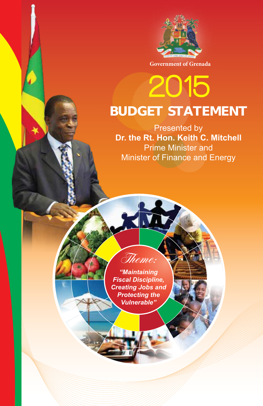

**Government of Grenada**

# 2015 **Estimate BUDGET STATEMENT**

Presented by **Dr. the Rt. Hon. Keith C. Mitchell**<br>Dr. the Rt. Hon. Keith C. Mitchell Prime Minister and **Frime Minister and Prime Minister and Energy**<br>Minister of Finance and Energy 2015

> *"Maintaining Fiscal Discipline, Creating Jobs and Protecting the Vulnerable"*

Theme:

**Government Of Grenada**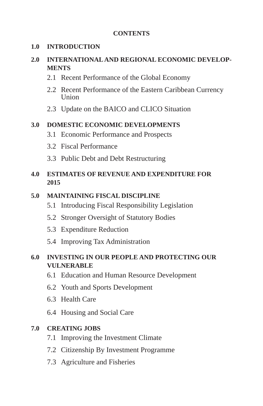#### **CONTENTS**

#### **1.0 INTRODUCTION**

#### **2.0 INTERNATIONAL AND REGIONAL ECONOMIC DEVELOP-MENTS**

- 2.1 Recent Performance of the Global Economy
- 2.2 Recent Performance of the Eastern Caribbean Currency Union
- 2.3 Update on the BAICO and CLICO Situation

#### **3.0 DOMESTIC ECONOMIC DEVELOPMENTS**

- 3.1 Economic Performance and Prospects
- 3.2 Fiscal Performance
- 3.3 Public Debt and Debt Restructuring

#### **4.0 ESTIMATES OF REVENUE AND EXPENDITURE FOR 2015**

#### **5.0 MAINTAINING FISCAL DISCIPLINE**

- 5.1 Introducing Fiscal Responsibility Legislation
- 5.2 Stronger Oversight of Statutory Bodies
- 5.3 Expenditure Reduction
- 5.4 Improving Tax Administration

#### **6.0 INVESTING IN OUR PEOPLE AND PROTECTING OUR VULNERABLE**

- 6.1 Education and Human Resource Development
- 6.2 Youth and Sports Development
- 6.3 Health Care
- 6.4 Housing and Social Care

#### **7.0 CREATING JOBS**

- 7.1 Improving the Investment Climate
- 7.2 Citizenship By Investment Programme
- 7.3 Agriculture and Fisheries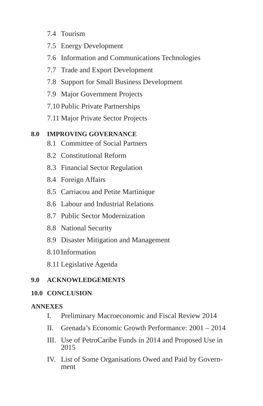- 7.4 Tourism
- 7.5 Energy Development
- 7.6 Information and Communications Technologies
- 7.7 Trade and Export Development
- 7.8 Support for Small Business Development
- 7.9 Major Government Projects
- 7.10 Public Private Partnerships
- 7.11 Major Private Sector Projects

## **8.0 IMPROVING GOVERNANCE**

- 8.1 Committee of Social Partners
- 8.2 Constitutional Reform
- 8.3 Financial Sector Regulation
- 8.4 Foreign Affairs
- 8.5 Carriacou and Petite Martinique
- 8.6 Labour and Industrial Relations
- 8.7 Public Sector Modernization
- 8.8 National Security
- 8.9 Disaster Mitigation and Management
- 8.10 Information
- 8.11 Legislative Agenda

#### **9.0 ACKNOWLEDGEMENTS**

#### **10.0 CONCLUSION**

#### **ANNEXES**

- I. Preliminary Macroeconomic and Fiscal Review 2014
- II. Grenada's Economic Growth Performance: 2001 2014
- III. Use of PetroCaribe Funds in 2014 and Proposed Use in 2015
- IV. List of Some Organisations Owed and Paid by Government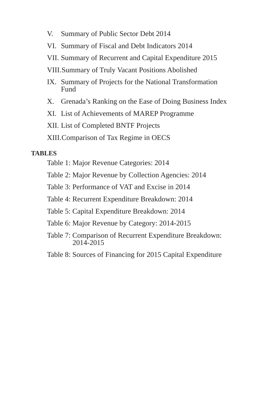- V. Summary of Public Sector Debt 2014
- VI. Summary of Fiscal and Debt Indicators 2014
- VII. Summary of Recurrent and Capital Expenditure 2015
- VIII. Summary of Truly Vacant Positions Abolished
- IX. Summary of Projects for the National Transformation **Fund**
- X. Grenada's Ranking on the Ease of Doing Business Index
- XI. List of Achievements of MAREP Programme
- XII. List of Completed BNTF Projects
- XIII. Comparison of Tax Regime in OECS

#### **TABLES**

- Table 1: Major Revenue Categories: 2014
- Table 2: Major Revenue by Collection Agencies: 2014
- Table 3: Performance of VAT and Excise in 2014
- Table 4: Recurrent Expenditure Breakdown: 2014
- Table 5: Capital Expenditure Breakdown: 2014
- Table 6: Major Revenue by Category: 2014-2015
- Table 7: Comparison of Recurrent Expenditure Breakdown: 2014-2015
- Table 8: Sources of Financing for 2015 Capital Expenditure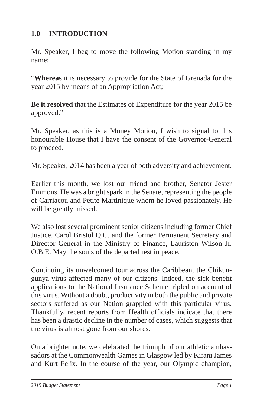# **1.0 INTRODUCTION**

Mr. Speaker, I beg to move the following Motion standing in my name:

"**Whereas** it is necessary to provide for the State of Grenada for the year 2015 by means of an Appropriation Act;

**Be it resolved** that the Estimates of Expenditure for the year 2015 be approved."

Mr. Speaker, as this is a Money Motion, I wish to signal to this honourable House that I have the consent of the Governor-General to proceed.

Mr. Speaker, 2014 has been a year of both adversity and achievement.

Earlier this month, we lost our friend and brother, Senator Jester Emmons. He was a bright spark in the Senate, representing the people of Carriacou and Petite Martinique whom he loved passionately. He will be greatly missed.

We also lost several prominent senior citizens including former Chief Justice, Carol Bristol Q.C. and the former Permanent Secretary and Director General in the Ministry of Finance, Lauriston Wilson Jr. O.B.E. May the souls of the departed rest in peace.

Continuing its unwelcomed tour across the Caribbean, the Chikungunya virus affected many of our citizens. Indeed, the sick benefit applications to the National Insurance Scheme tripled on account of this virus. Without a doubt, productivity in both the public and private sectors suffered as our Nation grappled with this particular virus. Thankfully, recent reports from Health officials indicate that there has been a drastic decline in the number of cases, which suggests that the virus is almost gone from our shores.

On a brighter note, we celebrated the triumph of our athletic ambassadors at the Commonwealth Games in Glasgow led by Kirani James and Kurt Felix. In the course of the year, our Olympic champion,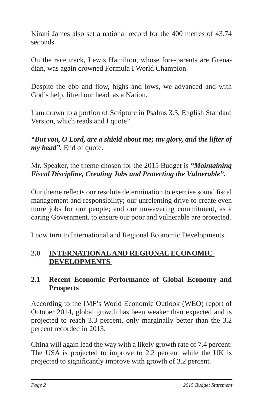Kirani James also set a national record for the 400 metres of 43.74 seconds.

On the race track, Lewis Hamilton, whose fore-parents are Grenadian, was again crowned Formula I World Champion.

Despite the ebb and flow, highs and lows, we advanced and with God's help, lifted our head, as a Nation.

I am drawn to a portion of Scripture in Psalms 3.3, English Standard Version, which reads and I quote"

*"But you, O Lord, are a shield about me; my glory, and the lifter of my head".* End of quote.

Mr. Speaker, the theme chosen for the 2015 Budget is *"Maintaining Fiscal Discipline, Creating Jobs and Protecting the Vulnerable".*

Our theme reflects our resolute determination to exercise sound fiscal management and responsibility; our unrelenting drive to create even more jobs for our people; and our unwavering commitment, as a caring Government, to ensure our poor and vulnerable are protected.

I now turn to International and Regional Economic Developments.

## **2.0 INTERNATIONAL AND REGIONAL ECONOMIC DEVELOPMENTS**

## **2.1 Recent Economic Performance of Global Economy and Prospects**

According to the IMF's World Economic Outlook (WEO) report of October 2014, global growth has been weaker than expected and is projected to reach 3.3 percent, only marginally better than the 3.2 percent recorded in 2013.

China will again lead the way with a likely growth rate of 7.4 percent. The USA is projected to improve to 2.2 percent while the UK is projected to significantly improve with growth of 3.2 percent.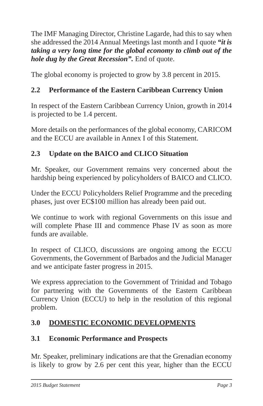The IMF Managing Director, Christine Lagarde, had this to say when she addressed the 2014 Annual Meetings last month and I quote *"it is taking a very long time for the global economy to climb out of the hole dug by the Great Recession".* End of quote.

The global economy is projected to grow by 3.8 percent in 2015.

# **2.2 Performance of the Eastern Caribbean Currency Union**

In respect of the Eastern Caribbean Currency Union, growth in 2014 is projected to be 1.4 percent.

More details on the performances of the global economy, CARICOM and the ECCU are available in Annex I of this Statement.

# **2.3 Update on the BAICO and CLICO Situation**

Mr. Speaker, our Government remains very concerned about the hardship being experienced by policyholders of BAICO and CLICO.

Under the ECCU Policyholders Relief Programme and the preceding phases, just over EC\$100 million has already been paid out.

We continue to work with regional Governments on this issue and will complete Phase III and commence Phase IV as soon as more funds are available.

In respect of CLICO, discussions are ongoing among the ECCU Governments, the Government of Barbados and the Judicial Manager and we anticipate faster progress in 2015.

We express appreciation to the Government of Trinidad and Tobago for partnering with the Governments of the Eastern Caribbean Currency Union (ECCU) to help in the resolution of this regional problem.

## **3.0 DOMESTIC ECONOMIC DEVELOPMENTS**

## **3.1 Economic Performance and Prospects**

Mr. Speaker, preliminary indications are that the Grenadian economy is likely to grow by 2.6 per cent this year, higher than the ECCU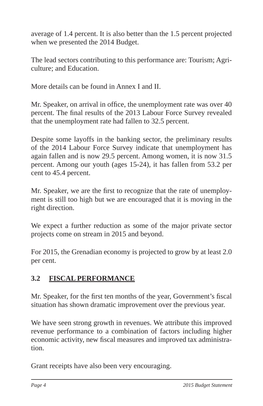average of 1.4 percent. It is also better than the 1.5 percent projected when we presented the 2014 Budget.

The lead sectors contributing to this performance are: Tourism; Agriculture; and Education.

More details can be found in Annex I and II.

Mr. Speaker, on arrival in office, the unemployment rate was over 40 percent. The final results of the 2013 Labour Force Survey revealed that the unemployment rate had fallen to 32.5 percent.

Despite some layoffs in the banking sector, the preliminary results of the 2014 Labour Force Survey indicate that unemployment has again fallen and is now 29.5 percent. Among women, it is now 31.5 percent. Among our youth (ages 15-24), it has fallen from 53.2 per cent to 45.4 percent.

Mr. Speaker, we are the first to recognize that the rate of unemployment is still too high but we are encouraged that it is moving in the right direction.

We expect a further reduction as some of the major private sector projects come on stream in 2015 and beyond.

For 2015, the Grenadian economy is projected to grow by at least 2.0 per cent.

# **3.2 FISCAL PERFORMANCE**

Mr. Speaker, for the first ten months of the year, Government's fiscal situation has shown dramatic improvement over the previous year.

We have seen strong growth in revenues. We attribute this improved revenue performance to a combination of factors including higher economic activity, new fiscal measures and improved tax administration.

Grant receipts have also been very encouraging.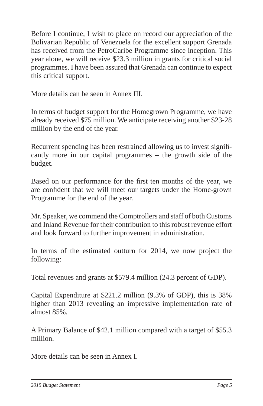Before I continue, I wish to place on record our appreciation of the Bolivarian Republic of Venezuela for the excellent support Grenada has received from the PetroCaribe Programme since inception. This year alone, we will receive \$23.3 million in grants for critical social programmes. I have been assured that Grenada can continue to expect this critical support.

More details can be seen in Annex III.

In terms of budget support for the Homegrown Programme, we have already received \$75 million. We anticipate receiving another \$23-28 million by the end of the year.

Recurrent spending has been restrained allowing us to invest significantly more in our capital programmes – the growth side of the budget.

Based on our performance for the first ten months of the year, we are confident that we will meet our targets under the Home-grown Programme for the end of the year.

Mr. Speaker, we commend the Comptrollers and staff of both Customs and Inland Revenue for their contribution to this robust revenue effort and look forward to further improvement in administration.

In terms of the estimated outturn for 2014, we now project the following:

Total revenues and grants at \$579.4 million (24.3 percent of GDP).

Capital Expenditure at \$221.2 million (9.3% of GDP), this is 38% higher than 2013 revealing an impressive implementation rate of almost 85%.

A Primary Balance of \$42.1 million compared with a target of \$55.3 million.

More details can be seen in Annex I.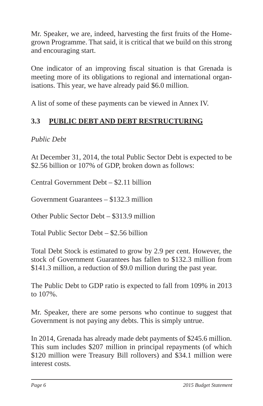Mr. Speaker, we are, indeed, harvesting the first fruits of the Homegrown Programme. That said, it is critical that we build on this strong and encouraging start.

One indicator of an improving fiscal situation is that Grenada is meeting more of its obligations to regional and international organisations. This year, we have already paid \$6.0 million.

A list of some of these payments can be viewed in Annex IV.

# **3.3 PUBLIC DEBT AND DEBT RESTRUCTURING**

*Public Debt*

At December 31, 2014, the total Public Sector Debt is expected to be \$2.56 billion or 107% of GDP, broken down as follows:

Central Government Debt – \$2.11 billion

Government Guarantees – \$132.3 million

Other Public Sector Debt – \$313.9 million

Total Public Sector Debt – \$2.56 billion

Total Debt Stock is estimated to grow by 2.9 per cent. However, the stock of Government Guarantees has fallen to \$132.3 million from \$141.3 million, a reduction of \$9.0 million during the past year.

The Public Debt to GDP ratio is expected to fall from 109% in 2013 to 107%.

Mr. Speaker, there are some persons who continue to suggest that Government is not paying any debts. This is simply untrue.

In 2014, Grenada has already made debt payments of \$245.6 million. This sum includes \$207 million in principal repayments (of which \$120 million were Treasury Bill rollovers) and \$34.1 million were interest costs.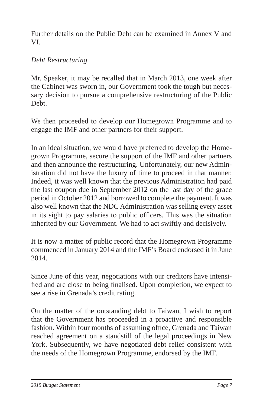Further details on the Public Debt can be examined in Annex V and VI.

## *Debt Restructuring*

Mr. Speaker, it may be recalled that in March 2013, one week after the Cabinet was sworn in, our Government took the tough but necessary decision to pursue a comprehensive restructuring of the Public Debt.

We then proceeded to develop our Homegrown Programme and to engage the IMF and other partners for their support.

In an ideal situation, we would have preferred to develop the Homegrown Programme, secure the support of the IMF and other partners and then announce the restructuring. Unfortunately, our new Administration did not have the luxury of time to proceed in that manner. Indeed, it was well known that the previous Administration had paid the last coupon due in September 2012 on the last day of the grace period in October 2012 and borrowed to complete the payment. It was also well known that the NDC Administration was selling every asset in its sight to pay salaries to public officers. This was the situation inherited by our Government. We had to act swiftly and decisively.

It is now a matter of public record that the Homegrown Programme commenced in January 2014 and the IMF's Board endorsed it in June 2014.

Since June of this year, negotiations with our creditors have intensified and are close to being finalised. Upon completion, we expect to see a rise in Grenada's credit rating.

On the matter of the outstanding debt to Taiwan, I wish to report that the Government has proceeded in a proactive and responsible fashion. Within four months of assuming office, Grenada and Taiwan reached agreement on a standstill of the legal proceedings in New York. Subsequently, we have negotiated debt relief consistent with the needs of the Homegrown Programme, endorsed by the IMF.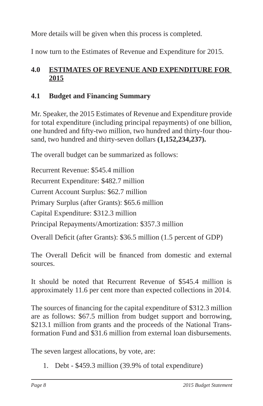More details will be given when this process is completed.

I now turn to the Estimates of Revenue and Expenditure for 2015.

# **4.0 ESTIMATES OF REVENUE AND EXPENDITURE FOR 2015**

# **4.1 Budget and Financing Summary**

Mr. Speaker, the 2015 Estimates of Revenue and Expenditure provide for total expenditure (including principal repayments) of one billion, one hundred and fifty-two million, two hundred and thirty-four thousand, two hundred and thirty-seven dollars **(1,152,234,237).**

The overall budget can be summarized as follows:

Recurrent Revenue: \$545.4 million Recurrent Expenditure: \$482.7 million Current Account Surplus: \$62.7 million Primary Surplus (after Grants): \$65.6 million Capital Expenditure: \$312.3 million Principal Repayments/Amortization: \$357.3 million Overall Deficit (after Grants): \$36.5 million (1.5 percent of GDP)

The Overall Deficit will be financed from domestic and external sources.

It should be noted that Recurrent Revenue of \$545.4 million is approximately 11.6 per cent more than expected collections in 2014.

The sources of financing for the capital expenditure of \$312.3 million are as follows: \$67.5 million from budget support and borrowing, \$213.1 million from grants and the proceeds of the National Transformation Fund and \$31.6 million from external loan disbursements.

The seven largest allocations, by vote, are:

1. Debt - \$459.3 million (39.9% of total expenditure)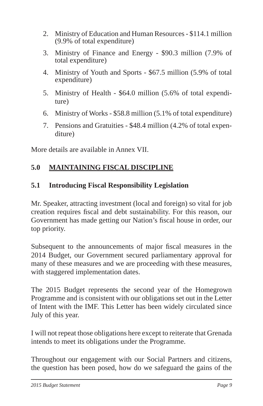- 2. Ministry of Education and Human Resources \$114.1 million (9.9% of total expenditure)
- 3. Ministry of Finance and Energy \$90.3 million (7.9% of total expenditure)
- 4. Ministry of Youth and Sports \$67.5 million (5.9% of total expenditure)
- 5. Ministry of Health \$64.0 million (5.6% of total expenditure)
- 6. Ministry of Works \$58.8 million (5.1% of total expenditure)
- 7. Pensions and Gratuities \$48.4 million (4.2% of total expenditure)

More details are available in Annex VII.

## **5.0 MAINTAINING FISCAL DISCIPLINE**

#### **5.1 Introducing Fiscal Responsibility Legislation**

Mr. Speaker, attracting investment (local and foreign) so vital for job creation requires fiscal and debt sustainability. For this reason, our Government has made getting our Nation's fiscal house in order, our top priority.

Subsequent to the announcements of major fiscal measures in the 2014 Budget, our Government secured parliamentary approval for many of these measures and we are proceeding with these measures, with staggered implementation dates.

The 2015 Budget represents the second year of the Homegrown Programme and is consistent with our obligations set out in the Letter of Intent with the IMF. This Letter has been widely circulated since July of this year.

I will not repeat those obligations here except to reiterate that Grenada intends to meet its obligations under the Programme.

Throughout our engagement with our Social Partners and citizens, the question has been posed, how do we safeguard the gains of the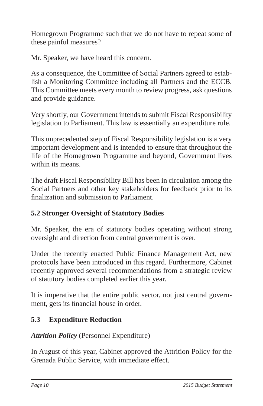Homegrown Programme such that we do not have to repeat some of these painful measures?

Mr. Speaker, we have heard this concern.

As a consequence, the Committee of Social Partners agreed to establish a Monitoring Committee including all Partners and the ECCB. This Committee meets every month to review progress, ask questions and provide guidance.

Very shortly, our Government intends to submit Fiscal Responsibility legislation to Parliament. This law is essentially an expenditure rule.

This unprecedented step of Fiscal Responsibility legislation is a very important development and is intended to ensure that throughout the life of the Homegrown Programme and beyond, Government lives within its means.

The draft Fiscal Responsibility Bill has been in circulation among the Social Partners and other key stakeholders for feedback prior to its finalization and submission to Parliament.

# **5.2 Stronger Oversight of Statutory Bodies**

Mr. Speaker, the era of statutory bodies operating without strong oversight and direction from central government is over.

Under the recently enacted Public Finance Management Act, new protocols have been introduced in this regard. Furthermore, Cabinet recently approved several recommendations from a strategic review of statutory bodies completed earlier this year.

It is imperative that the entire public sector, not just central government, gets its financial house in order.

# **5.3 Expenditure Reduction**

# *Attrition Policy* (Personnel Expenditure)

In August of this year, Cabinet approved the Attrition Policy for the Grenada Public Service, with immediate effect.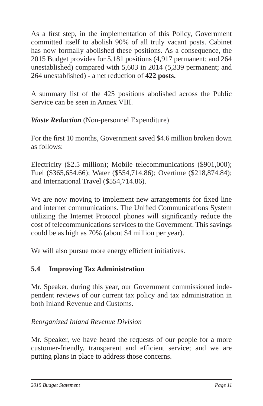As a first step, in the implementation of this Policy, Government committed itself to abolish 90% of all truly vacant posts. Cabinet has now formally abolished these positions. As a consequence, the 2015 Budget provides for 5,181 positions (4,917 permanent; and 264 unestablished) compared with 5,603 in 2014 (5,339 permanent; and 264 unestablished) - a net reduction of **422 posts.**

A summary list of the 425 positions abolished across the Public Service can be seen in Annex VIII.

*Waste Reduction* (Non-personnel Expenditure)

For the first 10 months, Government saved \$4.6 million broken down as follows:

Electricity (\$2.5 million); Mobile telecommunications (\$901,000); Fuel (\$365,654.66); Water (\$554,714.86); Overtime (\$218,874.84); and International Travel (\$554,714.86).

We are now moving to implement new arrangements for fixed line and internet communications. The Unified Communications System utilizing the Internet Protocol phones will significantly reduce the cost of telecommunications services to the Government. This savings could be as high as 70% (about \$4 million per year).

We will also pursue more energy efficient initiatives.

# **5.4 Improving Tax Administration**

Mr. Speaker, during this year, our Government commissioned independent reviews of our current tax policy and tax administration in both Inland Revenue and Customs.

*Reorganized Inland Revenue Division*

Mr. Speaker, we have heard the requests of our people for a more customer-friendly, transparent and efficient service; and we are putting plans in place to address those concerns.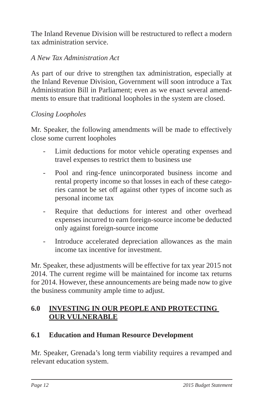The Inland Revenue Division will be restructured to reflect a modern tax administration service.

## *A New Tax Administration Act*

As part of our drive to strengthen tax administration, especially at the Inland Revenue Division, Government will soon introduce a Tax Administration Bill in Parliament; even as we enact several amendments to ensure that traditional loopholes in the system are closed.

#### *Closing Loopholes*

Mr. Speaker, the following amendments will be made to effectively close some current loopholes

- Limit deductions for motor vehicle operating expenses and travel expenses to restrict them to business use
- Pool and ring-fence unincorporated business income and rental property income so that losses in each of these categories cannot be set off against other types of income such as personal income tax
- Require that deductions for interest and other overhead expenses incurred to earn foreign-source income be deducted only against foreign-source income
- Introduce accelerated depreciation allowances as the main income tax incentive for investment.

Mr. Speaker, these adjustments will be effective for tax year 2015 not 2014. The current regime will be maintained for income tax returns for 2014. However, these announcements are being made now to give the business community ample time to adjust.

## **6.0 INVESTING IN OUR PEOPLE AND PROTECTING OUR VULNERABLE**

#### **6.1 Education and Human Resource Development**

Mr. Speaker, Grenada's long term viability requires a revamped and relevant education system.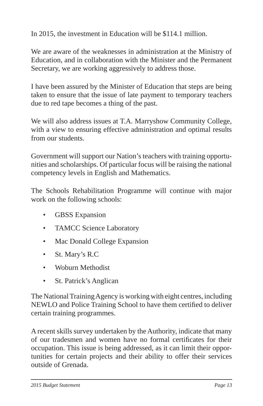In 2015, the investment in Education will be \$114.1 million.

We are aware of the weaknesses in administration at the Ministry of Education, and in collaboration with the Minister and the Permanent Secretary, we are working aggressively to address those.

I have been assured by the Minister of Education that steps are being taken to ensure that the issue of late payment to temporary teachers due to red tape becomes a thing of the past.

We will also address issues at T.A. Marryshow Community College, with a view to ensuring effective administration and optimal results from our students.

Government will support our Nation's teachers with training opportunities and scholarships. Of particular focus will be raising the national competency levels in English and Mathematics.

The Schools Rehabilitation Programme will continue with major work on the following schools:

- GBSS Expansion
- TAMCC Science Laboratory
- Mac Donald College Expansion
- St. Mary's R.C
- Woburn Methodist
- St. Patrick's Anglican

The National Training Agency is working with eight centres, including NEWLO and Police Training School to have them certified to deliver certain training programmes.

A recent skills survey undertaken by the Authority, indicate that many of our tradesmen and women have no formal certificates for their occupation. This issue is being addressed, as it can limit their opportunities for certain projects and their ability to offer their services outside of Grenada.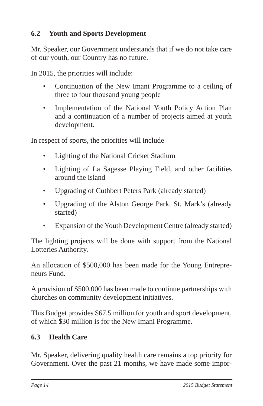# **6.2 Youth and Sports Development**

Mr. Speaker, our Government understands that if we do not take care of our youth, our Country has no future.

In 2015, the priorities will include:

- Continuation of the New Imani Programme to a ceiling of three to four thousand young people
- Implementation of the National Youth Policy Action Plan and a continuation of a number of projects aimed at youth development.

In respect of sports, the priorities will include

- Lighting of the National Cricket Stadium
- Lighting of La Sagesse Playing Field, and other facilities around the island
- Upgrading of Cuthbert Peters Park (already started)
- Upgrading of the Alston George Park, St. Mark's (already started)
- Expansion of the Youth Development Centre (already started)

The lighting projects will be done with support from the National Lotteries Authority.

An allocation of \$500,000 has been made for the Young Entrepreneurs Fund.

A provision of \$500,000 has been made to continue partnerships with churches on community development initiatives.

This Budget provides \$67.5 million for youth and sport development, of which \$30 million is for the New Imani Programme.

## **6.3 Health Care**

Mr. Speaker, delivering quality health care remains a top priority for Government. Over the past 21 months, we have made some impor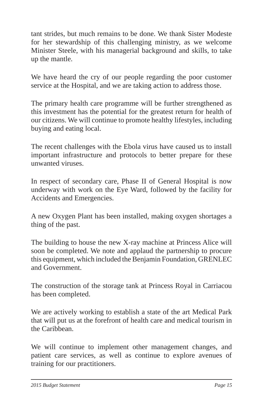tant strides, but much remains to be done. We thank Sister Modeste for her stewardship of this challenging ministry, as we welcome Minister Steele, with his managerial background and skills, to take up the mantle.

We have heard the cry of our people regarding the poor customer service at the Hospital, and we are taking action to address those.

The primary health care programme will be further strengthened as this investment has the potential for the greatest return for health of our citizens. We will continue to promote healthy lifestyles, including buying and eating local.

The recent challenges with the Ebola virus have caused us to install important infrastructure and protocols to better prepare for these unwanted viruses.

In respect of secondary care, Phase II of General Hospital is now underway with work on the Eye Ward, followed by the facility for Accidents and Emergencies.

A new Oxygen Plant has been installed, making oxygen shortages a thing of the past.

The building to house the new X-ray machine at Princess Alice will soon be completed. We note and applaud the partnership to procure this equipment, which included the Benjamin Foundation, GRENLEC and Government.

The construction of the storage tank at Princess Royal in Carriacou has been completed.

We are actively working to establish a state of the art Medical Park that will put us at the forefront of health care and medical tourism in the Caribbean.

We will continue to implement other management changes, and patient care services, as well as continue to explore avenues of training for our practitioners.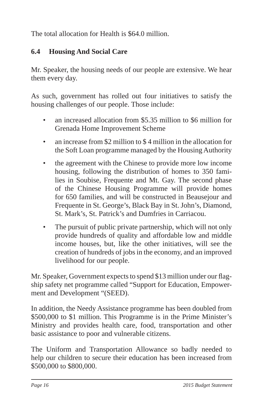The total allocation for Health is \$64.0 million.

# **6.4 Housing And Social Care**

Mr. Speaker, the housing needs of our people are extensive. We hear them every day.

As such, government has rolled out four initiatives to satisfy the housing challenges of our people. Those include:

- an increased allocation from \$5.35 million to \$6 million for Grenada Home Improvement Scheme
- an increase from \$2 million to \$4 million in the allocation for the Soft Loan programme managed by the Housing Authority
- the agreement with the Chinese to provide more low income housing, following the distribution of homes to 350 families in Soubise, Frequente and Mt. Gay. The second phase of the Chinese Housing Programme will provide homes for 650 families, and will be constructed in Beausejour and Frequente in St. George's, Black Bay in St. John's, Diamond, St. Mark's, St. Patrick's and Dumfries in Carriacou.
- The pursuit of public private partnership, which will not only provide hundreds of quality and affordable low and middle income houses, but, like the other initiatives, will see the creation of hundreds of jobs in the economy, and an improved livelihood for our people.

Mr. Speaker, Government expects to spend \$13 million under our flagship safety net programme called "Support for Education, Empowerment and Development "(SEED).

In addition, the Needy Assistance programme has been doubled from \$500,000 to \$1 million. This Programme is in the Prime Minister's Ministry and provides health care, food, transportation and other basic assistance to poor and vulnerable citizens.

The Uniform and Transportation Allowance so badly needed to help our children to secure their education has been increased from \$500,000 to \$800,000.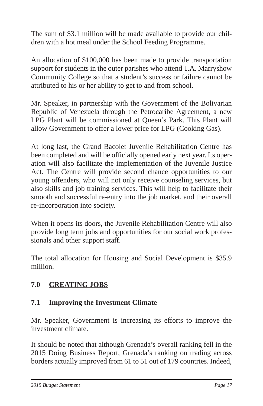The sum of \$3.1 million will be made available to provide our children with a hot meal under the School Feeding Programme.

An allocation of \$100,000 has been made to provide transportation support for students in the outer parishes who attend T.A. Marryshow Community College so that a student's success or failure cannot be attributed to his or her ability to get to and from school.

Mr. Speaker, in partnership with the Government of the Bolivarian Republic of Venezuela through the Petrocaribe Agreement, a new LPG Plant will be commissioned at Queen's Park. This Plant will allow Government to offer a lower price for LPG (Cooking Gas).

At long last, the Grand Bacolet Juvenile Rehabilitation Centre has been completed and will be officially opened early next year. Its operation will also facilitate the implementation of the Juvenile Justice Act. The Centre will provide second chance opportunities to our young offenders, who will not only receive counseling services, but also skills and job training services. This will help to facilitate their smooth and successful re-entry into the job market, and their overall re-incorporation into society.

When it opens its doors, the Juvenile Rehabilitation Centre will also provide long term jobs and opportunities for our social work professionals and other support staff.

The total allocation for Housing and Social Development is \$35.9 million.

# **7.0 CREATING JOBS**

## **7.1 Improving the Investment Climate**

Mr. Speaker, Government is increasing its efforts to improve the investment climate.

It should be noted that although Grenada's overall ranking fell in the 2015 Doing Business Report, Grenada's ranking on trading across borders actually improved from 61 to 51 out of 179 countries. Indeed,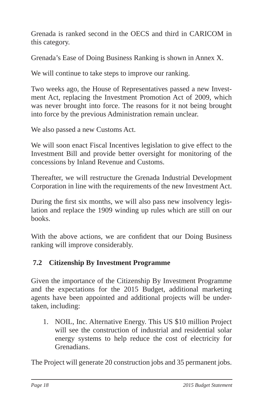Grenada is ranked second in the OECS and third in CARICOM in this category.

Grenada's Ease of Doing Business Ranking is shown in Annex X.

We will continue to take steps to improve our ranking.

Two weeks ago, the House of Representatives passed a new Investment Act, replacing the Investment Promotion Act of 2009, which was never brought into force. The reasons for it not being brought into force by the previous Administration remain unclear.

We also passed a new Customs Act.

We will soon enact Fiscal Incentives legislation to give effect to the Investment Bill and provide better oversight for monitoring of the concessions by Inland Revenue and Customs.

Thereafter, we will restructure the Grenada Industrial Development Corporation in line with the requirements of the new Investment Act.

During the first six months, we will also pass new insolvency legislation and replace the 1909 winding up rules which are still on our books.

With the above actions, we are confident that our Doing Business ranking will improve considerably.

# **7.2 Citizenship By Investment Programme**

Given the importance of the Citizenship By Investment Programme and the expectations for the 2015 Budget, additional marketing agents have been appointed and additional projects will be undertaken, including:

1. NOIL, Inc. Alternative Energy. This US \$10 million Project will see the construction of industrial and residential solar energy systems to help reduce the cost of electricity for Grenadians.

The Project will generate 20 construction jobs and 35 permanent jobs.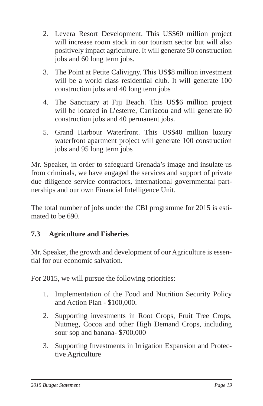- 2. Levera Resort Development. This US\$60 million project will increase room stock in our tourism sector but will also positively impact agriculture. It will generate 50 construction jobs and 60 long term jobs.
- 3. The Point at Petite Calivigny. This US\$8 million investment will be a world class residential club. It will generate 100 construction jobs and 40 long term jobs
- 4. The Sanctuary at Fiji Beach. This US\$6 million project will be located in L'esterre, Carriacou and will generate 60 construction jobs and 40 permanent jobs.
- 5. Grand Harbour Waterfront. This US\$40 million luxury waterfront apartment project will generate 100 construction jobs and 95 long term jobs

Mr. Speaker, in order to safeguard Grenada's image and insulate us from criminals, we have engaged the services and support of private due diligence service contractors, international governmental partnerships and our own Financial Intelligence Unit.

The total number of jobs under the CBI programme for 2015 is estimated to be 690.

## **7.3 Agriculture and Fisheries**

Mr. Speaker, the growth and development of our Agriculture is essential for our economic salvation.

For 2015, we will pursue the following priorities:

- 1. Implementation of the Food and Nutrition Security Policy and Action Plan - \$100,000.
- 2. Supporting investments in Root Crops, Fruit Tree Crops, Nutmeg, Cocoa and other High Demand Crops, including sour sop and banana- \$700,000
- 3. Supporting Investments in Irrigation Expansion and Protective Agriculture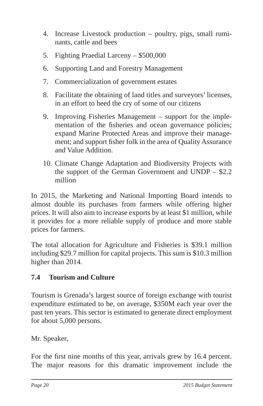- 4. Increase Livestock production poultry, pigs, small ruminants, cattle and bees
- 5. Fighting Praedial Larceny \$500,000
- 6. Supporting Land and Forestry Management
- 7. Commercialization of government estates
- 8. Facilitate the obtaining of land titles and surveyors' licenses, in an effort to heed the cry of some of our citizens
- 9. Improving Fisheries Management support for the implementation of the fisheries and ocean governance policies; expand Marine Protected Areas and improve their management; and support fisher folk in the area of Quality Assurance and Value Addition.
- 10. Climate Change Adaptation and Biodiversity Projects with the support of the German Government and UNDP – \$2.2 million

In 2015, the Marketing and National Importing Board intends to almost double its purchases from farmers while offering higher prices. It will also aim to increase exports by at least \$1 million, while it provides for a more reliable supply of produce and more stable prices for farmers.

The total allocation for Agriculture and Fisheries is \$39.1 million including \$29.7 million for capital projects. This sum is \$10.3 million higher than 2014.

# **7.4 Tourism and Culture**

Tourism is Grenada's largest source of foreign exchange with tourist expenditure estimated to be, on average, \$350M each year over the past ten years. This sector is estimated to generate direct employment for about 5,000 persons.

Mr. Speaker,

For the first nine months of this year, arrivals grew by 16.4 percent. The major reasons for this dramatic improvement include the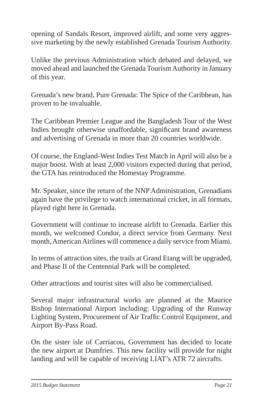opening of Sandals Resort, improved airlift, and some very aggressive marketing by the newly established Grenada Tourism Authority.

Unlike the previous Administration which debated and delayed, we moved ahead and launched the Grenada Tourism Authority in January of this year.

Grenada's new brand, Pure Grenada: The Spice of the Caribbean, has proven to be invaluable.

The Caribbean Premier League and the Bangladesh Tour of the West Indies brought otherwise unaffordable, significant brand awareness and advertising of Grenada in more than 20 countries worldwide.

Of course, the England-West Indies Test Match in April will also be a major boost. With at least 2,000 visitors expected during that period, the GTA has reintroduced the Homestay Programme.

Mr. Speaker, since the return of the NNP Administration, Grenadians again have the privilege to watch international cricket, in all formats, played right here in Grenada.

Government will continue to increase airlift to Grenada. Earlier this month, we welcomed Condor, a direct service from Germany. Next month, American Airlines will commence a daily service from Miami.

In terms of attraction sites, the trails at Grand Etang will be upgraded, and Phase II of the Centennial Park will be completed.

Other attractions and tourist sites will also be commercialised.

Several major infrastructural works are planned at the Maurice Bishop International Airport including: Upgrading of the Runway Lighting System, Procurement of Air Traffic Control Equipment, and Airport By-Pass Road.

On the sister isle of Carriacou, Government has decided to locate the new airport at Dumfries. This new facility will provide for night landing and will be capable of receiving LIAT's ATR 72 aircrafts.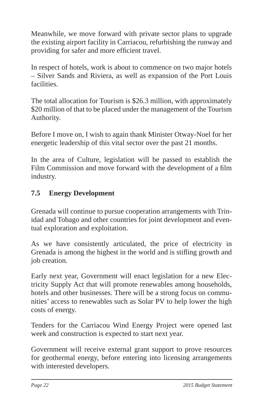Meanwhile, we move forward with private sector plans to upgrade the existing airport facility in Carriacou, refurbishing the runway and providing for safer and more efficient travel.

In respect of hotels, work is about to commence on two major hotels – Silver Sands and Riviera, as well as expansion of the Port Louis facilities.

The total allocation for Tourism is \$26.3 million, with approximately \$20 million of that to be placed under the management of the Tourism Authority.

Before I move on, I wish to again thank Minister Otway-Noel for her energetic leadership of this vital sector over the past 21 months.

In the area of Culture, legislation will be passed to establish the Film Commission and move forward with the development of a film industry.

# **7.5 Energy Development**

Grenada will continue to pursue cooperation arrangements with Trinidad and Tobago and other countries for joint development and eventual exploration and exploitation.

As we have consistently articulated, the price of electricity in Grenada is among the highest in the world and is stifling growth and job creation.

Early next year, Government will enact legislation for a new Electricity Supply Act that will promote renewables among households, hotels and other businesses. There will be a strong focus on communities' access to renewables such as Solar PV to help lower the high costs of energy.

Tenders for the Carriacou Wind Energy Project were opened last week and construction is expected to start next year.

Government will receive external grant support to prove resources for geothermal energy, before entering into licensing arrangements with interested developers.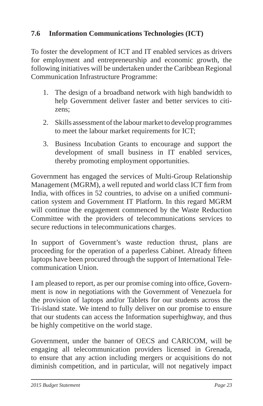## **7.6 Information Communications Technologies (ICT)**

To foster the development of ICT and IT enabled services as drivers for employment and entrepreneurship and economic growth, the following initiatives will be undertaken under the Caribbean Regional Communication Infrastructure Programme:

- 1. The design of a broadband network with high bandwidth to help Government deliver faster and better services to citizens;
- 2. Skills assessment of the labour market to develop programmes to meet the labour market requirements for ICT;
- 3. Business Incubation Grants to encourage and support the development of small business in IT enabled services, thereby promoting employment opportunities.

Government has engaged the services of Multi-Group Relationship Management (MGRM), a well reputed and world class ICT firm from India, with offices in 52 countries, to advise on a unified communication system and Government IT Platform. In this regard MGRM will continue the engagement commenced by the Waste Reduction Committee with the providers of telecommunications services to secure reductions in telecommunications charges.

In support of Government's waste reduction thrust, plans are proceeding for the operation of a paperless Cabinet. Already fifteen laptops have been procured through the support of International Telecommunication Union.

I am pleased to report, as per our promise coming into office, Government is now in negotiations with the Government of Venezuela for the provision of laptops and/or Tablets for our students across the Tri-island state. We intend to fully deliver on our promise to ensure that our students can access the Information superhighway, and thus be highly competitive on the world stage.

Government, under the banner of OECS and CARICOM, will be engaging all telecommunication providers licensed in Grenada, to ensure that any action including mergers or acquisitions do not diminish competition, and in particular, will not negatively impact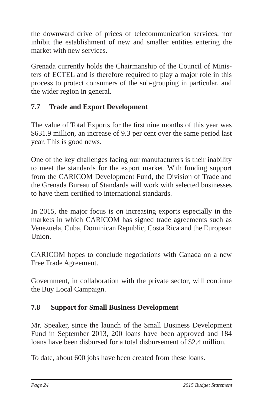the downward drive of prices of telecommunication services, nor inhibit the establishment of new and smaller entities entering the market with new services.

Grenada currently holds the Chairmanship of the Council of Ministers of ECTEL and is therefore required to play a major role in this process to protect consumers of the sub-grouping in particular, and the wider region in general.

# **7.7 Trade and Export Development**

The value of Total Exports for the first nine months of this year was \$631.9 million, an increase of 9.3 per cent over the same period last year. This is good news.

One of the key challenges facing our manufacturers is their inability to meet the standards for the export market. With funding support from the CARICOM Development Fund, the Division of Trade and the Grenada Bureau of Standards will work with selected businesses to have them certified to international standards.

In 2015, the major focus is on increasing exports especially in the markets in which CARICOM has signed trade agreements such as Venezuela, Cuba, Dominican Republic, Costa Rica and the European Union.

CARICOM hopes to conclude negotiations with Canada on a new Free Trade Agreement.

Government, in collaboration with the private sector, will continue the Buy Local Campaign.

## **7.8 Support for Small Business Development**

Mr. Speaker, since the launch of the Small Business Development Fund in September 2013, 200 loans have been approved and 184 loans have been disbursed for a total disbursement of \$2.4 million.

To date, about 600 jobs have been created from these loans.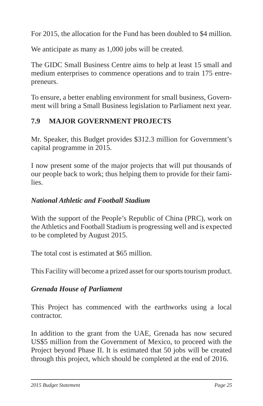For 2015, the allocation for the Fund has been doubled to \$4 million.

We anticipate as many as 1,000 jobs will be created.

The GIDC Small Business Centre aims to help at least 15 small and medium enterprises to commence operations and to train 175 entrepreneurs.

To ensure, a better enabling environment for small business, Government will bring a Small Business legislation to Parliament next year.

# **7.9 MAJOR GOVERNMENT PROJECTS**

Mr. Speaker, this Budget provides \$312.3 million for Government's capital programme in 2015.

I now present some of the major projects that will put thousands of our people back to work; thus helping them to provide for their families.

## *National Athletic and Football Stadium*

With the support of the People's Republic of China (PRC), work on the Athletics and Football Stadium is progressing well and is expected to be completed by August 2015.

The total cost is estimated at \$65 million.

This Facility will become a prized asset for our sports tourism product.

#### *Grenada House of Parliament*

This Project has commenced with the earthworks using a local contractor.

In addition to the grant from the UAE, Grenada has now secured US\$5 million from the Government of Mexico, to proceed with the Project beyond Phase II. It is estimated that 50 jobs will be created through this project, which should be completed at the end of 2016.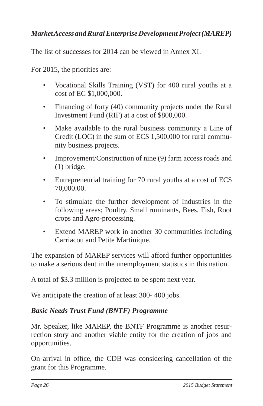# *Market Access and Rural Enterprise Development Project (MAREP)*

The list of successes for 2014 can be viewed in Annex XI.

For 2015, the priorities are:

- Vocational Skills Training (VST) for 400 rural youths at a cost of EC \$1,000,000.
- Financing of forty (40) community projects under the Rural Investment Fund (RIF) at a cost of \$800,000.
- Make available to the rural business community a Line of Credit (LOC) in the sum of EC\$ 1,500,000 for rural community business projects.
- Improvement/Construction of nine (9) farm access roads and (1) bridge.
- Entrepreneurial training for 70 rural youths at a cost of EC\$ 70,000.00.
- To stimulate the further development of Industries in the following areas; Poultry, Small ruminants, Bees, Fish, Root crops and Agro-processing.
- Extend MAREP work in another 30 communities including Carriacou and Petite Martinique.

The expansion of MAREP services will afford further opportunities to make a serious dent in the unemployment statistics in this nation.

A total of \$3.3 million is projected to be spent next year.

We anticipate the creation of at least 300- 400 jobs.

## *Basic Needs Trust Fund (BNTF) Programme*

Mr. Speaker, like MAREP, the BNTF Programme is another resurrection story and another viable entity for the creation of jobs and opportunities.

On arrival in office, the CDB was considering cancellation of the grant for this Programme.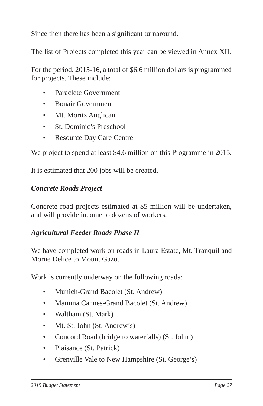Since then there has been a significant turnaround.

The list of Projects completed this year can be viewed in Annex XII.

For the period, 2015-16, a total of \$6.6 million dollars is programmed for projects. These include:

- Paraclete Government
- Bonair Government
- Mt. Moritz Anglican
- St. Dominic's Preschool
- Resource Day Care Centre

We project to spend at least \$4.6 million on this Programme in 2015.

It is estimated that 200 jobs will be created.

#### *Concrete Roads Project*

Concrete road projects estimated at \$5 million will be undertaken, and will provide income to dozens of workers.

#### *Agricultural Feeder Roads Phase II*

We have completed work on roads in Laura Estate, Mt. Tranquil and Morne Delice to Mount Gazo.

Work is currently underway on the following roads:

- Munich-Grand Bacolet (St. Andrew)
- Mamma Cannes-Grand Bacolet (St. Andrew)
- Waltham (St. Mark)
- Mt. St. John (St. Andrew's)
- Concord Road (bridge to waterfalls) (St. John )
- Plaisance (St. Patrick)
- Grenville Vale to New Hampshire (St. George's)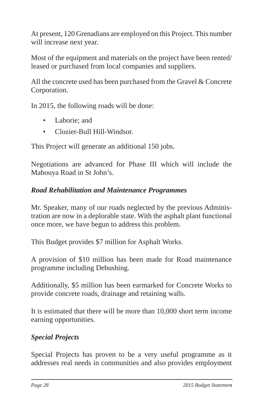At present, 120 Grenadians are employed on this Project. This number will increase next year.

Most of the equipment and materials on the project have been rented/ leased or purchased from local companies and suppliers.

All the concrete used has been purchased from the Gravel & Concrete Corporation.

In 2015, the following roads will be done:

- Laborie; and
- Clozier-Bull Hill-Windsor.

This Project will generate an additional 150 jobs.

Negotiations are advanced for Phase III which will include the Mabouya Road in St John's.

# *Road Rehabilitation and Maintenance Programmes*

Mr. Speaker, many of our roads neglected by the previous Administration are now in a deplorable state. With the asphalt plant functional once more, we have begun to address this problem.

This Budget provides \$7 million for Asphalt Works.

A provision of \$10 million has been made for Road maintenance programme including Debushing.

Additionally, \$5 million has been earmarked for Concrete Works to provide concrete roads, drainage and retaining walls.

It is estimated that there will be more than 10,000 short term income earning opportunities.

# *Special Projects*

Special Projects has proven to be a very useful programme as it addresses real needs in communities and also provides employment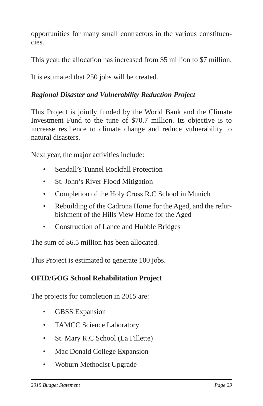opportunities for many small contractors in the various constituencies.

This year, the allocation has increased from \$5 million to \$7 million.

It is estimated that 250 jobs will be created.

## *Regional Disaster and Vulnerability Reduction Project*

This Project is jointly funded by the World Bank and the Climate Investment Fund to the tune of \$70.7 million. Its objective is to increase resilience to climate change and reduce vulnerability to natural disasters.

Next year, the major activities include:

- Sendall's Tunnel Rockfall Protection
- St. John's River Flood Mitigation
- Completion of the Holy Cross R.C School in Munich
- Rebuilding of the Cadrona Home for the Aged, and the refurbishment of the Hills View Home for the Aged
- Construction of Lance and Hubble Bridges

The sum of \$6.5 million has been allocated.

This Project is estimated to generate 100 jobs.

## **OFID/GOG School Rehabilitation Project**

The projects for completion in 2015 are:

- GBSS Expansion
- TAMCC Science Laboratory
- St. Mary R.C School (La Fillette)
- Mac Donald College Expansion
- Woburn Methodist Upgrade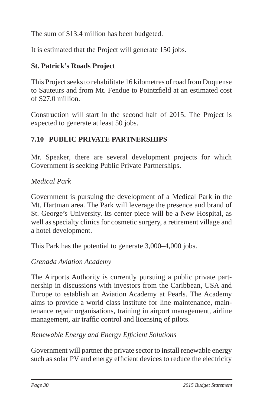The sum of \$13.4 million has been budgeted.

It is estimated that the Project will generate 150 jobs.

# **St. Patrick's Roads Project**

This Project seeks to rehabilitate 16 kilometres of road from Duquense to Sauteurs and from Mt. Fendue to Pointzfield at an estimated cost of \$27.0 million.

Construction will start in the second half of 2015. The Project is expected to generate at least 50 jobs.

# **7.10 PUBLIC PRIVATE PARTNERSHIPS**

Mr. Speaker, there are several development projects for which Government is seeking Public Private Partnerships.

## *Medical Park*

Government is pursuing the development of a Medical Park in the Mt. Hartman area. The Park will leverage the presence and brand of St. George's University. Its center piece will be a New Hospital, as well as specialty clinics for cosmetic surgery, a retirement village and a hotel development.

This Park has the potential to generate 3,000–4,000 jobs.

## *Grenada Aviation Academy*

The Airports Authority is currently pursuing a public private partnership in discussions with investors from the Caribbean, USA and Europe to establish an Aviation Academy at Pearls. The Academy aims to provide a world class institute for line maintenance, maintenance repair organisations, training in airport management, airline management, air traffic control and licensing of pilots.

## *Renewable Energy and Energy Effi cient Solutions*

Government will partner the private sector to install renewable energy such as solar PV and energy efficient devices to reduce the electricity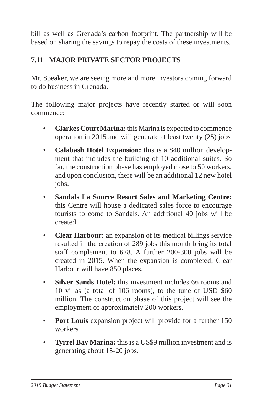bill as well as Grenada's carbon footprint. The partnership will be based on sharing the savings to repay the costs of these investments.

# **7.11 MAJOR PRIVATE SECTOR PROJECTS**

Mr. Speaker, we are seeing more and more investors coming forward to do business in Grenada.

The following major projects have recently started or will soon commence:

- **Clarkes Court Marina:** this Marina is expected to commence operation in 2015 and will generate at least twenty (25) jobs
- **Calabash Hotel Expansion:** this is a \$40 million development that includes the building of 10 additional suites. So far, the construction phase has employed close to 50 workers, and upon conclusion, there will be an additional 12 new hotel jobs.
- **Sandals La Source Resort Sales and Marketing Centre:** this Centre will house a dedicated sales force to encourage tourists to come to Sandals. An additional 40 jobs will be created.
- **Clear Harbour:** an expansion of its medical billings service resulted in the creation of 289 jobs this month bring its total staff complement to 678. A further 200-300 jobs will be created in 2015. When the expansion is completed, Clear Harbour will have 850 places.
- **Silver Sands Hotel:** this investment includes 66 rooms and 10 villas (a total of 106 rooms), to the tune of USD \$60 million. The construction phase of this project will see the employment of approximately 200 workers.
- **Port Louis** expansion project will provide for a further 150 workers
- **Tyrrel Bay Marina:** this is a US\$9 million investment and is generating about 15-20 jobs.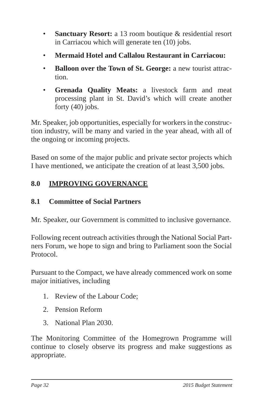- **Sanctuary Resort:** a 13 room boutique & residential resort in Carriacou which will generate ten (10) jobs.
- **Mermaid Hotel and Callalou Restaurant in Carriacou:**
- **Balloon over the Town of St. George:** a new tourist attraction.
- **Grenada Quality Meats:** a livestock farm and meat processing plant in St. David's which will create another forty (40) jobs.

Mr. Speaker, job opportunities, especially for workers in the construction industry, will be many and varied in the year ahead, with all of the ongoing or incoming projects.

Based on some of the major public and private sector projects which I have mentioned, we anticipate the creation of at least 3,500 jobs.

# **8.0 IMPROVING GOVERNANCE**

## **8.1 Committee of Social Partners**

Mr. Speaker, our Government is committed to inclusive governance.

Following recent outreach activities through the National Social Partners Forum, we hope to sign and bring to Parliament soon the Social Protocol.

Pursuant to the Compact, we have already commenced work on some major initiatives, including

- 1. Review of the Labour Code;
- 2. Pension Reform
- 3. National Plan 2030.

The Monitoring Committee of the Homegrown Programme will continue to closely observe its progress and make suggestions as appropriate.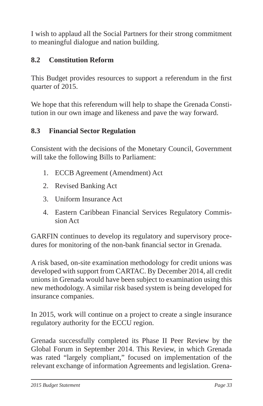I wish to applaud all the Social Partners for their strong commitment to meaningful dialogue and nation building.

# **8.2 Constitution Reform**

This Budget provides resources to support a referendum in the first quarter of 2015.

We hope that this referendum will help to shape the Grenada Constitution in our own image and likeness and pave the way forward.

## **8.3 Financial Sector Regulation**

Consistent with the decisions of the Monetary Council, Government will take the following Bills to Parliament:

- 1. ECCB Agreement (Amendment) Act
- 2. Revised Banking Act
- 3. Uniform Insurance Act
- 4. Eastern Caribbean Financial Services Regulatory Commission Act

GARFIN continues to develop its regulatory and supervisory procedures for monitoring of the non-bank financial sector in Grenada.

A risk based, on-site examination methodology for credit unions was developed with support from CARTAC. By December 2014, all credit unions in Grenada would have been subject to examination using this new methodology. A similar risk based system is being developed for insurance companies.

In 2015, work will continue on a project to create a single insurance regulatory authority for the ECCU region.

Grenada successfully completed its Phase II Peer Review by the Global Forum in September 2014. This Review, in which Grenada was rated "largely compliant," focused on implementation of the relevant exchange of information Agreements and legislation. Grena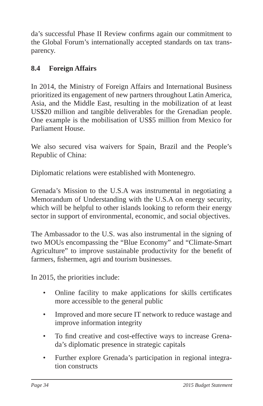da's successful Phase II Review confirms again our commitment to the Global Forum's internationally accepted standards on tax transparency.

# **8.4 Foreign Affairs**

In 2014, the Ministry of Foreign Affairs and International Business prioritized its engagement of new partners throughout Latin America, Asia, and the Middle East, resulting in the mobilization of at least US\$20 million and tangible deliverables for the Grenadian people. One example is the mobilisation of US\$5 million from Mexico for Parliament House.

We also secured visa waivers for Spain, Brazil and the People's Republic of China:

Diplomatic relations were established with Montenegro.

Grenada's Mission to the U.S.A was instrumental in negotiating a Memorandum of Understanding with the U.S.A on energy security, which will be helpful to other islands looking to reform their energy sector in support of environmental, economic, and social objectives.

The Ambassador to the U.S. was also instrumental in the signing of two MOUs encompassing the "Blue Economy" and "Climate-Smart Agriculture" to improve sustainable productivity for the benefit of farmers, fishermen, agri and tourism businesses.

In 2015, the priorities include:

- Online facility to make applications for skills certificates more accessible to the general public
- Improved and more secure IT network to reduce wastage and improve information integrity
- To find creative and cost-effective ways to increase Grenada's diplomatic presence in strategic capitals
- Further explore Grenada's participation in regional integration constructs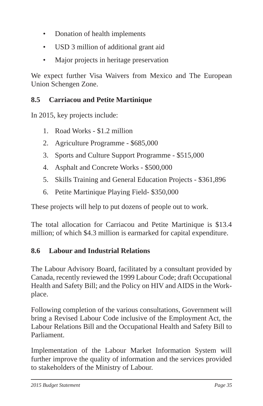- Donation of health implements
- USD 3 million of additional grant aid
- Major projects in heritage preservation

We expect further Visa Waivers from Mexico and The European Union Schengen Zone.

# **8.5 Carriacou and Petite Martinique**

In 2015, key projects include:

- 1. Road Works \$1.2 million
- 2. Agriculture Programme \$685,000
- 3. Sports and Culture Support Programme \$515,000
- 4. Asphalt and Concrete Works \$500,000
- 5. Skills Training and General Education Projects \$361,896
- 6. Petite Martinique Playing Field- \$350,000

These projects will help to put dozens of people out to work.

The total allocation for Carriacou and Petite Martinique is \$13.4 million; of which \$4.3 million is earmarked for capital expenditure.

# **8.6 Labour and Industrial Relations**

The Labour Advisory Board, facilitated by a consultant provided by Canada, recently reviewed the 1999 Labour Code; draft Occupational Health and Safety Bill; and the Policy on HIV and AIDS in the Workplace.

Following completion of the various consultations, Government will bring a Revised Labour Code inclusive of the Employment Act, the Labour Relations Bill and the Occupational Health and Safety Bill to Parliament.

Implementation of the Labour Market Information System will further improve the quality of information and the services provided to stakeholders of the Ministry of Labour.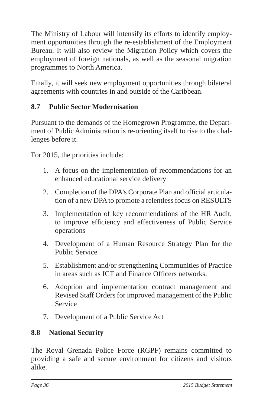The Ministry of Labour will intensify its efforts to identify employment opportunities through the re-establishment of the Employment Bureau. It will also review the Migration Policy which covers the employment of foreign nationals, as well as the seasonal migration programmes to North America.

Finally, it will seek new employment opportunities through bilateral agreements with countries in and outside of the Caribbean.

# **8.7 Public Sector Modernisation**

Pursuant to the demands of the Homegrown Programme, the Department of Public Administration is re-orienting itself to rise to the challenges before it.

For 2015, the priorities include:

- 1. A focus on the implementation of recommendations for an enhanced educational service delivery
- 2. Completion of the DPA's Corporate Plan and official articulation of a new DPA to promote a relentless focus on RESULTS
- 3. Implementation of key recommendations of the HR Audit, to improve efficiency and effectiveness of Public Service operations
- 4. Development of a Human Resource Strategy Plan for the Public Service
- 5. Establishment and/or strengthening Communities of Practice in areas such as ICT and Finance Officers networks.
- 6. Adoption and implementation contract management and Revised Staff Orders for improved management of the Public Service
- 7. Development of a Public Service Act

# **8.8 National Security**

The Royal Grenada Police Force (RGPF) remains committed to providing a safe and secure environment for citizens and visitors alike.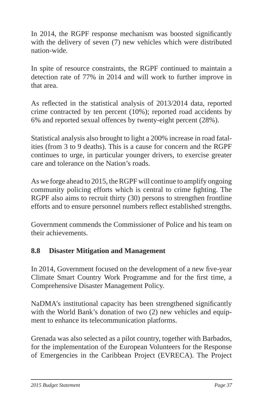In 2014, the RGPF response mechanism was boosted significantly with the delivery of seven (7) new vehicles which were distributed nation-wide.

In spite of resource constraints, the RGPF continued to maintain a detection rate of 77% in 2014 and will work to further improve in that area.

As reflected in the statistical analysis of 2013/2014 data, reported crime contracted by ten percent (10%); reported road accidents by 6% and reported sexual offences by twenty-eight percent (28%).

Statistical analysis also brought to light a 200% increase in road fatalities (from 3 to 9 deaths). This is a cause for concern and the RGPF continues to urge, in particular younger drivers, to exercise greater care and tolerance on the Nation's roads.

As we forge ahead to 2015, the RGPF will continue to amplify ongoing community policing efforts which is central to crime fighting. The RGPF also aims to recruit thirty (30) persons to strengthen frontline efforts and to ensure personnel numbers reflect established strengths.

Government commends the Commissioner of Police and his team on their achievements.

# **8.8 Disaster Mitigation and Management**

In 2014, Government focused on the development of a new five-year Climate Smart Country Work Programme and for the first time, a Comprehensive Disaster Management Policy.

NaDMA's institutional capacity has been strengthened significantly with the World Bank's donation of two (2) new vehicles and equipment to enhance its telecommunication platforms.

Grenada was also selected as a pilot country, together with Barbados, for the implementation of the European Volunteers for the Response of Emergencies in the Caribbean Project (EVRECA). The Project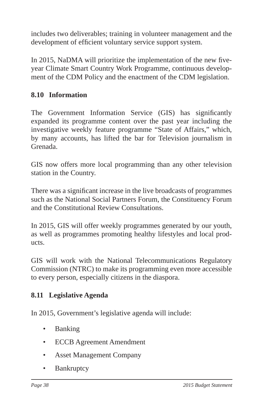includes two deliverables; training in volunteer management and the development of efficient voluntary service support system.

In 2015, NaDMA will prioritize the implementation of the new fiveyear Climate Smart Country Work Programme, continuous development of the CDM Policy and the enactment of the CDM legislation.

# **8.10 Information**

The Government Information Service (GIS) has significantly expanded its programme content over the past year including the investigative weekly feature programme "State of Affairs," which, by many accounts, has lifted the bar for Television journalism in Grenada.

GIS now offers more local programming than any other television station in the Country.

There was a significant increase in the live broadcasts of programmes such as the National Social Partners Forum, the Constituency Forum and the Constitutional Review Consultations.

In 2015, GIS will offer weekly programmes generated by our youth, as well as programmes promoting healthy lifestyles and local products.

GIS will work with the National Telecommunications Regulatory Commission (NTRC) to make its programming even more accessible to every person, especially citizens in the diaspora.

## **8.11 Legislative Agenda**

In 2015, Government's legislative agenda will include:

- Banking
- ECCB Agreement Amendment
- Asset Management Company
- Bankruptcy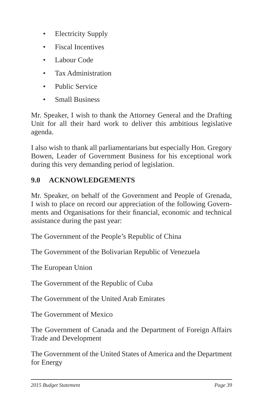- Electricity Supply
- Fiscal Incentives
- Labour Code
- Tax Administration
- Public Service
- Small Business

Mr. Speaker, I wish to thank the Attorney General and the Drafting Unit for all their hard work to deliver this ambitious legislative agenda.

I also wish to thank all parliamentarians but especially Hon. Gregory Bowen, Leader of Government Business for his exceptional work during this very demanding period of legislation.

# **9.0 ACKNOWLEDGEMENTS**

Mr. Speaker, on behalf of the Government and People of Grenada, I wish to place on record our appreciation of the following Governments and Organisations for their financial, economic and technical assistance during the past year:

The Government of the People's Republic of China

The Government of the Bolivarian Republic of Venezuela

The European Union

The Government of the Republic of Cuba

The Government of the United Arab Emirates

The Government of Mexico

The Government of Canada and the Department of Foreign Affairs Trade and Development

The Government of the United States of America and the Department for Energy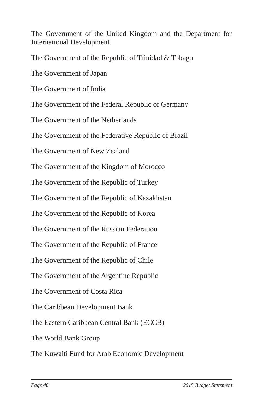The Government of the United Kingdom and the Department for International Development

The Government of the Republic of Trinidad & Tobago

The Government of Japan

The Government of India

The Government of the Federal Republic of Germany

The Government of the Netherlands

The Government of the Federative Republic of Brazil

The Government of New Zealand

The Government of the Kingdom of Morocco

The Government of the Republic of Turkey

The Government of the Republic of Kazakhstan

The Government of the Republic of Korea

The Government of the Russian Federation

The Government of the Republic of France

The Government of the Republic of Chile

The Government of the Argentine Republic

The Government of Costa Rica

The Caribbean Development Bank

The Eastern Caribbean Central Bank (ECCB)

The World Bank Group

The Kuwaiti Fund for Arab Economic Development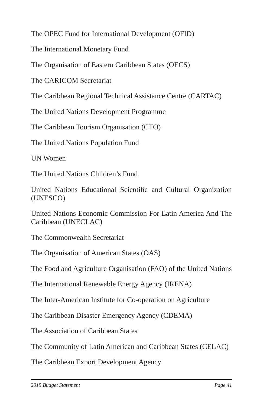The OPEC Fund for International Development (OFID)

The International Monetary Fund

The Organisation of Eastern Caribbean States (OECS)

The CARICOM Secretariat

The Caribbean Regional Technical Assistance Centre (CARTAC)

The United Nations Development Programme

The Caribbean Tourism Organisation (CTO)

The United Nations Population Fund

UN Women

The United Nations Children's Fund

United Nations Educational Scientific and Cultural Organization (UNESCO)

United Nations Economic Commission For Latin America And The Caribbean (UNECLAC)

The Commonwealth Secretariat

The Organisation of American States (OAS)

The Food and Agriculture Organisation (FAO) of the United Nations

The International Renewable Energy Agency (IRENA)

The Inter-American Institute for Co-operation on Agriculture

The Caribbean Disaster Emergency Agency (CDEMA)

The Association of Caribbean States

The Community of Latin American and Caribbean States (CELAC)

The Caribbean Export Development Agency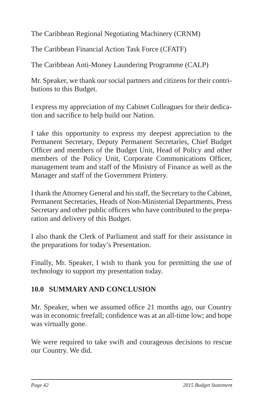The Caribbean Regional Negotiating Machinery (CRNM)

The Caribbean Financial Action Task Force (CFATF)

The Caribbean Anti-Money Laundering Programme (CALP)

Mr. Speaker, we thank our social partners and citizens for their contributions to this Budget.

I express my appreciation of my Cabinet Colleagues for their dedication and sacrifice to help build our Nation.

I take this opportunity to express my deepest appreciation to the Permanent Secretary, Deputy Permanent Secretaries, Chief Budget Officer and members of the Budget Unit, Head of Policy and other members of the Policy Unit, Corporate Communications Officer, management team and staff of the Ministry of Finance as well as the Manager and staff of the Government Printery.

I thank the Attorney General and his staff, the Secretary to the Cabinet, Permanent Secretaries, Heads of Non-Ministerial Departments, Press Secretary and other public officers who have contributed to the preparation and delivery of this Budget.

I also thank the Clerk of Parliament and staff for their assistance in the preparations for today's Presentation.

Finally, Mr. Speaker, I wish to thank you for permitting the use of technology to support my presentation today.

# **10.0 SUMMARY AND CONCLUSION**

Mr. Speaker, when we assumed office 21 months ago, our Country was in economic freefall; confidence was at an all-time low; and hope was virtually gone.

We were required to take swift and courageous decisions to rescue our Country. We did.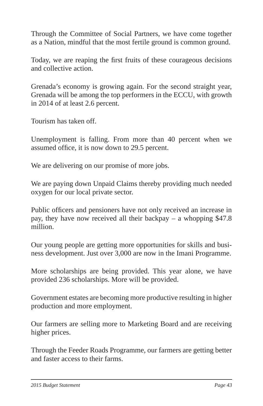Through the Committee of Social Partners, we have come together as a Nation, mindful that the most fertile ground is common ground.

Today, we are reaping the first fruits of these courageous decisions and collective action.

Grenada's economy is growing again. For the second straight year, Grenada will be among the top performers in the ECCU, with growth in 2014 of at least 2.6 percent.

Tourism has taken off.

Unemployment is falling. From more than 40 percent when we assumed office, it is now down to 29.5 percent.

We are delivering on our promise of more jobs.

We are paying down Unpaid Claims thereby providing much needed oxygen for our local private sector.

Public officers and pensioners have not only received an increase in pay, they have now received all their backpay – a whopping \$47.8 million.

Our young people are getting more opportunities for skills and business development. Just over 3,000 are now in the Imani Programme.

More scholarships are being provided. This year alone, we have provided 236 scholarships. More will be provided.

Government estates are becoming more productive resulting in higher production and more employment.

Our farmers are selling more to Marketing Board and are receiving higher prices.

Through the Feeder Roads Programme, our farmers are getting better and faster access to their farms.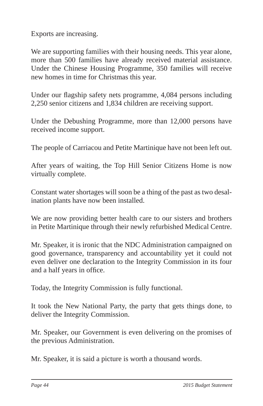Exports are increasing.

We are supporting families with their housing needs. This year alone, more than 500 families have already received material assistance. Under the Chinese Housing Programme, 350 families will receive new homes in time for Christmas this year.

Under our flagship safety nets programme, 4,084 persons including 2,250 senior citizens and 1,834 children are receiving support.

Under the Debushing Programme, more than 12,000 persons have received income support.

The people of Carriacou and Petite Martinique have not been left out.

After years of waiting, the Top Hill Senior Citizens Home is now virtually complete.

Constant water shortages will soon be a thing of the past as two desalination plants have now been installed.

We are now providing better health care to our sisters and brothers in Petite Martinique through their newly refurbished Medical Centre.

Mr. Speaker, it is ironic that the NDC Administration campaigned on good governance, transparency and accountability yet it could not even deliver one declaration to the Integrity Commission in its four and a half years in office.

Today, the Integrity Commission is fully functional.

It took the New National Party, the party that gets things done, to deliver the Integrity Commission.

Mr. Speaker, our Government is even delivering on the promises of the previous Administration.

Mr. Speaker, it is said a picture is worth a thousand words.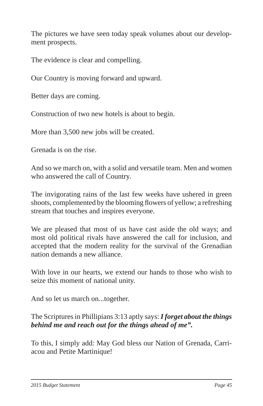The pictures we have seen today speak volumes about our development prospects.

The evidence is clear and compelling.

Our Country is moving forward and upward.

Better days are coming.

Construction of two new hotels is about to begin.

More than 3,500 new jobs will be created.

Grenada is on the rise.

And so we march on, with a solid and versatile team. Men and women who answered the call of Country.

The invigorating rains of the last few weeks have ushered in green shoots, complemented by the blooming flowers of yellow; a refreshing stream that touches and inspires everyone.

We are pleased that most of us have cast aside the old ways; and most old political rivals have answered the call for inclusion, and accepted that the modern reality for the survival of the Grenadian nation demands a new alliance.

With love in our hearts, we extend our hands to those who wish to seize this moment of national unity.

And so let us march on...together.

# The Scriptures in Phillipians 3:13 aptly says: *I forget about the things behind me and reach out for the things ahead of me".*

To this, I simply add: May God bless our Nation of Grenada, Carriacou and Petite Martinique!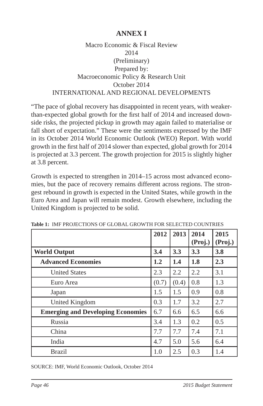# **ANNEX I**

### Macro Economic & Fiscal Review 2014 (Preliminary) Prepared by: Macroeconomic Policy & Research Unit October 2014 INTERNATIONAL AND REGIONAL DEVELOPMENTS

"The pace of global recovery has disappointed in recent years, with weakerthan-expected global growth for the first half of 2014 and increased downside risks, the projected pickup in growth may again failed to materialise or fall short of expectation." These were the sentiments expressed by the IMF in its October 2014 World Economic Outlook (WEO) Report. With world growth in the first half of 2014 slower than expected, global growth for 2014 is projected at 3.3 percent. The growth projection for 2015 is slightly higher at 3.8 percent.

Growth is expected to strengthen in 2014–15 across most advanced economies, but the pace of recovery remains different across regions. The strongest rebound in growth is expected in the United States, while growth in the Euro Area and Japan will remain modest. Growth elsewhere, including the United Kingdom is projected to be solid.

|                                          | 2012  | 2013  | 2014<br>(Proj.) | 2015<br>(Proj.) |
|------------------------------------------|-------|-------|-----------------|-----------------|
| <b>World Output</b>                      | 3.4   | 3.3   | 3.3             | 3.8             |
| <b>Advanced Economies</b>                | 1.2   | 1.4   | 1.8             | 2.3             |
| <b>United States</b>                     | 2.3   | 2.2   | 2.2             | 3.1             |
| Euro Area                                | (0.7) | (0.4) | 0.8             | 1.3             |
| Japan                                    | 1.5   | 1.5   | 0.9             | 0.8             |
| United Kingdom                           | 0.3   | 1.7   | 3.2             | 2.7             |
| <b>Emerging and Developing Economies</b> | 6.7   | 6.6   | 6.5             | 6.6             |
| Russia                                   | 3.4   | 1.3   | 0.2             | 0.5             |
| China                                    | 7.7   | 7.7   | 7.4             | 7.1             |
| India                                    | 4.7   | 5.0   | 5.6             | 6.4             |
| <b>Brazil</b>                            | 1.0   | 2.5   | 0.3             | 1.4             |

**Table 1:** IMF PROJECTIONS OF GLOBAL GROWTH FOR SELECTED COUNTRIES

SOURCE: IMF, World Economic Outlook, October 2014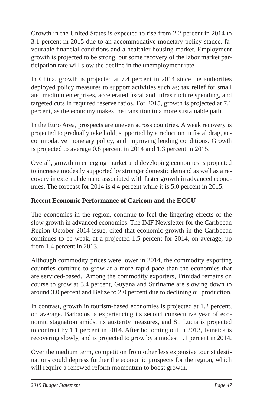Growth in the United States is expected to rise from 2.2 percent in 2014 to 3.1 percent in 2015 due to an accommodative monetary policy stance, favourable financial conditions and a healthier housing market. Employment growth is projected to be strong, but some recovery of the labor market participation rate will slow the decline in the unemployment rate.

In China, growth is projected at 7.4 percent in 2014 since the authorities deployed policy measures to support activities such as; tax relief for small and medium enterprises, accelerated fiscal and infrastructure spending, and targeted cuts in required reserve ratios. For 2015, growth is projected at 7.1 percent, as the economy makes the transition to a more sustainable path.

In the Euro Area, prospects are uneven across countries. A weak recovery is projected to gradually take hold, supported by a reduction in fiscal drag, accommodative monetary policy, and improving lending conditions. Growth is projected to average 0.8 percent in 2014 and 1.3 percent in 2015.

Overall, growth in emerging market and developing economies is projected to increase modestly supported by stronger domestic demand as well as a recovery in external demand associated with faster growth in advanced economies. The forecast for 2014 is 4.4 percent while it is 5.0 percent in 2015.

## **Recent Economic Performance of Caricom and the ECCU**

The economies in the region, continue to feel the lingering effects of the slow growth in advanced economies. The IMF Newsletter for the Caribbean Region October 2014 issue, cited that economic growth in the Caribbean continues to be weak, at a projected 1.5 percent for 2014, on average, up from 1.4 percent in 2013.

Although commodity prices were lower in 2014, the commodity exporting countries continue to grow at a more rapid pace than the economies that are serviced-based. Among the commodity exporters, Trinidad remains on course to grow at 3.4 percent, Guyana and Suriname are slowing down to around 3.0 percent and Belize to 2.0 percent due to declining oil production.

In contrast, growth in tourism-based economies is projected at 1.2 percent, on average. Barbados is experiencing its second consecutive year of economic stagnation amidst its austerity measures, and St. Lucia is projected to contract by 1.1 percent in 2014. After bottoming out in 2013, Jamaica is recovering slowly, and is projected to grow by a modest 1.1 percent in 2014.

Over the medium term, competition from other less expensive tourist destinations could depress further the economic prospects for the region, which will require a renewed reform momentum to boost growth.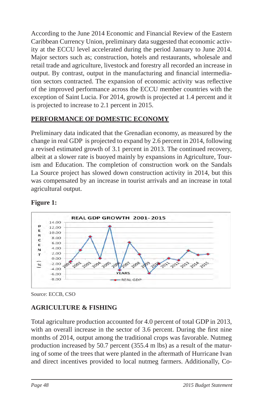According to the June 2014 Economic and Financial Review of the Eastern Caribbean Currency Union, preliminary data suggested that economic activity at the ECCU level accelerated during the period January to June 2014. Major sectors such as; construction, hotels and restaurants, wholesale and retail trade and agriculture, livestock and forestry all recorded an increase in output. By contrast, output in the manufacturing and financial intermediation sectors contracted. The expansion of economic activity was reflective of the improved performance across the ECCU member countries with the exception of Saint Lucia. For 2014, growth is projected at 1.4 percent and it is projected to increase to 2.1 percent in 2015.

## **PERFORMANCE OF DOMESTIC ECONOMY**

Preliminary data indicated that the Grenadian economy, as measured by the change in real GDP is projected to expand by 2.6 percent in 2014, following a revised estimated growth of 3.1 percent in 2013. The continued recovery, albeit at a slower rate is buoyed mainly by expansions in Agriculture, Tourism and Education. The completion of construction work on the Sandals La Source project has slowed down construction activity in 2014, but this was compensated by an increase in tourist arrivals and an increase in total agricultural output.



# **Figure 1:**

# **AGRICULTURE & FISHING**

Total agriculture production accounted for 4.0 percent of total GDP in 2013, with an overall increase in the sector of  $3.6$  percent. During the first nine months of 2014, output among the traditional crops was favorable. Nutmeg production increased by 50.7 percent (355.4 m lbs) as a result of the maturing of some of the trees that were planted in the aftermath of Hurricane Ivan and direct incentives provided to local nutmeg farmers. Additionally, Co-

Source: ECCB, CSO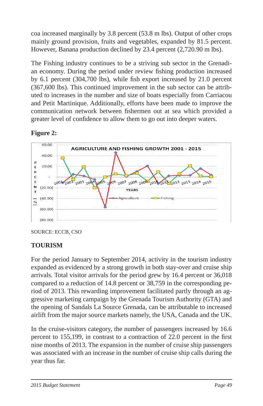coa increased marginally by 3.8 percent (53.8 m lbs). Output of other crops mainly ground provision, fruits and vegetables, expanded by 81.5 percent. However, Banana production declined by 23.4 percent (2,720.90 m lbs).

The Fishing industry continues to be a striving sub sector in the Grenadian economy. During the period under review fishing production increased by  $6.1$  percent (304,700 lbs), while fish export increased by  $21.0$  percent (367,600 lbs). This continued improvement in the sub sector can be attributed to increases in the number and size of boats especially from Carriacou and Petit Martinique. Additionally, efforts have been made to improve the communication network between fishermen out at sea which provided a greater level of confidence to allow them to go out into deeper waters.

# **Figure 2:**



SOURCE: ECCB, CSO

## **TOURISM**

For the period January to September 2014, activity in the tourism industry expanded as evidenced by a strong growth in both stay-over and cruise ship arrivals. Total visitor arrivals for the period grew by 16.4 percent or 36,018 compared to a reduction of 14.8 percent or 38,759 in the corresponding period of 2013. This rewarding improvement facilitated partly through an aggressive marketing campaign by the Grenada Tourism Authority (GTA) and the opening of Sandals La Source Grenada, can be attributable to increased airlift from the major source markets namely, the USA, Canada and the UK.

In the cruise-visitors category, the number of passengers increased by 16.6 percent to 155,199, in contrast to a contraction of 22.0 percent in the first nine months of 2013. The expansion in the number of cruise ship passengers was associated with an increase in the number of cruise ship calls during the year thus far.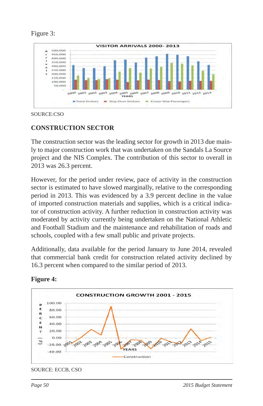



SOURCE:CSO

# **CONSTRUCTION SECTOR**

The construction sector was the leading sector for growth in 2013 due mainly to major construction work that was undertaken on the Sandals La Source project and the NIS Complex. The contribution of this sector to overall in 2013 was 26.3 percent.

However, for the period under review, pace of activity in the construction sector is estimated to have slowed marginally, relative to the corresponding period in 2013. This was evidenced by a 3.9 percent decline in the value of imported construction materials and supplies, which is a critical indicator of construction activity. A further reduction in construction activity was moderated by activity currently being undertaken on the National Athletic and Football Stadium and the maintenance and rehabilitation of roads and schools, coupled with a few small public and private projects.

Additionally, data available for the period January to June 2014, revealed that commercial bank credit for construction related activity declined by 16.3 percent when compared to the similar period of 2013.



## **Figure 4:**

SOURCE: ECCB, CSO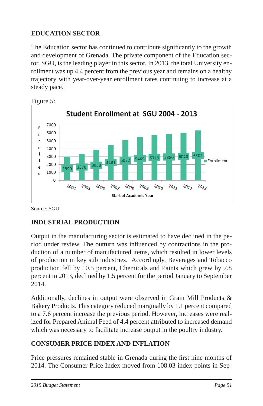# **EDUCATION SECTOR**

The Education sector has continued to contribute significantly to the growth and development of Grenada. The private component of the Education sector, SGU, is the leading player in this sector. In 2013, the total University enrollment was up 4.4 percent from the previous year and remains on a healthy trajectory with year-over-year enrollment rates continuing to increase at a steady pace.





Source: SGU

## **INDUSTRIAL PRODUCTION**

Output in the manufacturing sector is estimated to have declined in the period under review. The outturn was influenced by contractions in the production of a number of manufactured items, which resulted in lower levels of production in key sub industries. Accordingly, Beverages and Tobacco production fell by 10.5 percent, Chemicals and Paints which grew by 7.8 percent in 2013, declined by 1.5 percent for the period January to September 2014.

Additionally, declines in output were observed in Grain Mill Products & Bakery Products. This category reduced marginally by 1.1 percent compared to a 7.6 percent increase the previous period. However, increases were realized for Prepared Animal Feed of 4.4 percent attributed to increased demand which was necessary to facilitate increase output in the poultry industry.

## **CONSUMER PRICE INDEX AND INFLATION**

Price pressures remained stable in Grenada during the first nine months of 2014. The Consumer Price Index moved from 108.03 index points in Sep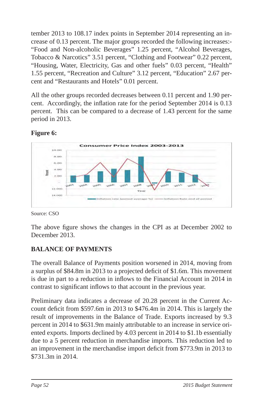tember 2013 to 108.17 index points in September 2014 representing an increase of 0.13 percent. The major groups recorded the following increases:- "Food and Non-alcoholic Beverages" 1.25 percent, "Alcohol Beverages, Tobacco & Narcotics" 3.51 percent, "Clothing and Footwear" 0.22 percent, "Housing, Water, Electricity, Gas and other fuels" 0.03 percent, "Health" 1.55 percent, "Recreation and Culture" 3.12 percent, "Education" 2.67 percent and "Restaurants and Hotels" 0.01 percent.

All the other groups recorded decreases between 0.11 percent and 1.90 percent. Accordingly, the inflation rate for the period September 2014 is 0.13 percent. This can be compared to a decrease of 1.43 percent for the same period in 2013.

# **Figure 6:**



Source: CSO

The above figure shows the changes in the CPI as at December 2002 to December 2013.

# **BALANCE OF PAYMENTS**

The overall Balance of Payments position worsened in 2014, moving from a surplus of \$84.8m in 2013 to a projected deficit of \$1.6m. This movement is due in part to a reduction in inflows to the Financial Account in 2014 in contrast to significant inflows to that account in the previous year.

Preliminary data indicates a decrease of 20.28 percent in the Current Account deficit from  $$597.6m$  in 2013 to  $$476.4m$  in 2014. This is largely the result of improvements in the Balance of Trade. Exports increased by 9.3 percent in 2014 to \$631.9m mainly attributable to an increase in service oriented exports. Imports declined by 4.03 percent in 2014 to \$1.1b essentially due to a 5 percent reduction in merchandise imports. This reduction led to an improvement in the merchandise import deficit from \$773.9m in 2013 to \$731.3m in 2014.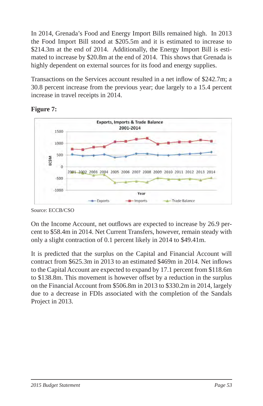In 2014, Grenada's Food and Energy Import Bills remained high. In 2013 the Food Import Bill stood at \$205.5m and it is estimated to increase to \$214.3m at the end of 2014. Additionally, the Energy Import Bill is estimated to increase by \$20.8m at the end of 2014. This shows that Grenada is highly dependent on external sources for its food and energy supplies.

Transactions on the Services account resulted in a net inflow of \$242.7m; a 30.8 percent increase from the previous year; due largely to a 15.4 percent increase in travel receipts in 2014.



### **Figure 7:**

Source: ECCB/CSO

On the Income Account, net outflows are expected to increase by 26.9 percent to \$58.4m in 2014. Net Current Transfers, however, remain steady with only a slight contraction of 0.1 percent likely in 2014 to \$49.41m.

It is predicted that the surplus on the Capital and Financial Account will contract from  $$625.3m$  in 2013 to an estimated  $$469m$  in 2014. Net inflows to the Capital Account are expected to expand by 17.1 percent from \$118.6m to \$138.8m. This movement is however offset by a reduction in the surplus on the Financial Account from \$506.8m in 2013 to \$330.2m in 2014, largely due to a decrease in FDIs associated with the completion of the Sandals Project in 2013.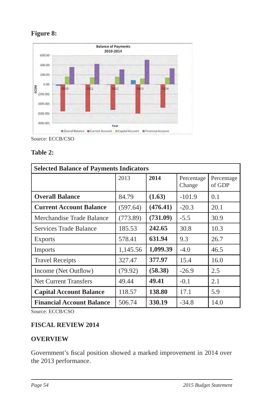

### **Figure 8:**

Source: ECCB/CSO

#### **Table 2:**

| <b>Selected Balance of Payments Indicators</b> |          |          |                      |                      |  |  |  |  |  |
|------------------------------------------------|----------|----------|----------------------|----------------------|--|--|--|--|--|
|                                                | 2013     | 2014     | Percentage<br>Change | Percentage<br>of GDP |  |  |  |  |  |
| <b>Overall Balance</b>                         | 84.79    | (1.63)   | $-101.9$             | 0.1                  |  |  |  |  |  |
| <b>Current Account Balance</b>                 | (597.64) | (476.41) | $-20.3$              | 20.1                 |  |  |  |  |  |
| Merchandise Trade Balance                      | (773.89) | (731.09) | $-5.5$               | 30.9                 |  |  |  |  |  |
| Services Trade Balance                         | 185.53   | 242.65   | 30.8                 | 10.3                 |  |  |  |  |  |
| <b>Exports</b>                                 | 578.41   | 631.94   | 9.3                  | 26.7                 |  |  |  |  |  |
| Imports                                        | 1,145.56 | 1,099.39 | $-4.0$               | 46.5                 |  |  |  |  |  |
| <b>Travel Receipts</b>                         | 327.47   | 377.97   | 15.4                 | 16.0                 |  |  |  |  |  |
| Income (Net Outflow)                           | (79.92)  | (58.38)  | $-26.9$              | 2.5                  |  |  |  |  |  |
| <b>Net Current Transfers</b>                   | 49.44    | 49.41    | $-0.1$               | 2.1                  |  |  |  |  |  |
| <b>Capital Account Balance</b>                 | 118.57   | 138.80   | 17.1                 | 5.9                  |  |  |  |  |  |
| <b>Financial Account Balance</b>               | 506.74   | 330.19   | $-34.8$              | 14.0                 |  |  |  |  |  |

Source: ECCB/CSO

### **FISCAL REVIEW 2014**

### **OVERVIEW**

Government's fiscal position showed a marked improvement in 2014 over the 2013 performance.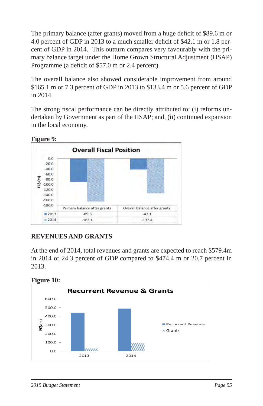The primary balance (after grants) moved from a huge deficit of \$89.6 m or 4.0 percent of GDP in 2013 to a much smaller deficit of \$42.1 m or 1.8 percent of GDP in 2014. This outturn compares very favourably with the primary balance target under the Home Grown Structural Adjustment (HSAP) Programme (a deficit of \$57.0 m or 2.4 percent).

The overall balance also showed considerable improvement from around \$165.1 m or 7.3 percent of GDP in 2013 to \$133.4 m or 5.6 percent of GDP in 2014.

The strong fiscal performance can be directly attributed to: (i) reforms undertaken by Government as part of the HSAP; and, (ii) continued expansion in the local economy.



# **REVENUES AND GRANTS**

At the end of 2014, total revenues and grants are expected to reach \$579.4m in 2014 or 24.3 percent of GDP compared to \$474.4 m or 20.7 percent in 2013.



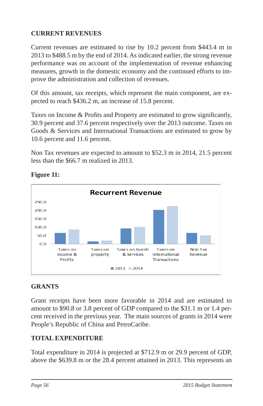## **CURRENT REVENUES**

Current revenues are estimated to rise by 10.2 percent from \$443.4 m in 2013 to \$488.5 m by the end of 2014. As indicated earlier, the strong revenue performance was on account of the implementation of revenue enhancing measures, growth in the domestic economy and the continued efforts to improve the administration and collection of revenues.

Of this amount, tax receipts, which represent the main component, are expected to reach \$436.2 m, an increase of 15.8 percent.

Taxes on Income & Profits and Property are estimated to grow significantly, 30.9 percent and 37.6 percent respectively over the 2013 outcome. Taxes on Goods & Services and International Transactions are estimated to grow by 10.6 percent and 11.6 percent.

Non Tax revenues are expected to amount to \$52.3 m in 2014, 21.5 percent less than the \$66.7 m realized in 2013.



### **Figure 11:**

## **GRANTS**

Grant receipts have been more favorable in 2014 and are estimated to amount to \$90.8 or 3.8 percent of GDP compared to the \$31.1 m or 1.4 percent received in the previous year. The main sources of grants in 2014 were People's Republic of China and PetroCaribe.

# **TOTAL EXPENDITURE**

Total expenditure in 2014 is projected at \$712.9 m or 29.9 percent of GDP, above the \$639.8 m or the 28.4 percent attained in 2013. This represents an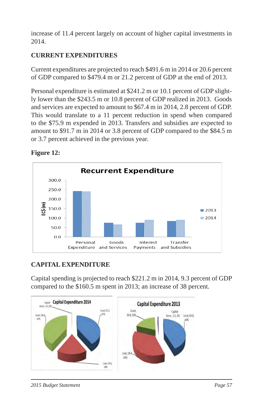increase of 11.4 percent largely on account of higher capital investments in 2014.

# **CURRENT EXPENDITURES**

Current expenditures are projected to reach \$491.6 m in 2014 or 20.6 percent of GDP compared to \$479.4 m or 21.2 percent of GDP at the end of 2013.

Personal expenditure is estimated at \$241.2 m or 10.1 percent of GDP slightly lower than the \$243.5 m or 10.8 percent of GDP realized in 2013. Goods and services are expected to amount to \$67.4 m in 2014, 2.8 percent of GDP. This would translate to a 11 percent reduction in spend when compared to the \$75.9 m expended in 2013. Transfers and subsidies are expected to amount to \$91.7 m in 2014 or 3.8 percent of GDP compared to the \$84.5 m or 3.7 percent achieved in the previous year.





## **CAPITAL EXPENDITURE**

Capital spending is projected to reach \$221.2 m in 2014, 9.3 percent of GDP compared to the \$160.5 m spent in 2013; an increase of 38 percent.

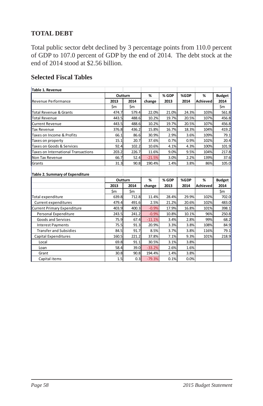# **TOTAL DEBT**

Total public sector debt declined by 3 percentage points from 110.0 percent of GDP to 107.0 percent of GDP by the end of 2014. The debt stock at the end of 2014 stood at \$2.56 billion.

### **Selected Fiscal Tables**

| Table 1. Revenue                    |       |         |          |       |       |          |               |
|-------------------------------------|-------|---------|----------|-------|-------|----------|---------------|
|                                     |       | Outturn | %        | % GDP | %GDP  | %        | <b>Budget</b> |
| <b>Revenue Performance</b>          | 2013  | 2014    | change   | 2013  | 2014  | Achieved | 2014          |
|                                     | \$m   | \$m     |          |       |       |          | \$m           |
| Total Revenue & Grants              | 474.7 | 579.4   | 22.0%    | 21.0% | 24.3% | 103%     | 561.8         |
| <b>Total Revenue</b>                | 443.5 | 488.6   | 10.2%    | 19.7% | 20.5% | 107%     | 456.8         |
| <b>Current Revenue</b>              | 443.5 | 488.6   | 10.2%    | 19.7% | 20.5% | 107%     | 456.8         |
| <b>Tax Revenue</b>                  | 376.8 | 436.2   | 15.8%    | 16.7% | 18.3% | 104%     | 419.2         |
| Taxes on Income & Profits           | 66.1  | 86.6    | 30.9%    | 2.9%  | 3.6%  | 109%     | 79.1          |
| Taxes on property                   | 15.1  | 20.7    | 37.6%    | 0.7%  | 0.9%  | 102%     | 20.4          |
| Taxes on Goods & Services           | 92.4  | 102.2   | 10.6%    | 4.1%  | 4.3%  | 100%     | 101.9         |
| Taxes on International Transactions | 203.2 | 226.7   | 11.6%    | 9.0%  | 9.5%  | 104%     | 217.8         |
| Non Tax Revenue                     | 66.7  | 52.4    | $-21.5%$ | 3.0%  | 2.2%  | 139%     | 37.6          |
| Grants                              | 31.3  | 90.8    | 190.4%   | 1.4%  | 3.8%  | 86%      | 105.0         |
| Table 2. Summary of Expenditure     |       | Outturn | %        | % GDP | %GDP  | %        | <b>Budget</b> |
|                                     | 2013  | 2014    | change   | 2013  | 2014  | Achieved | 2014          |
|                                     | \$m   | \$m     |          |       |       |          | \$m           |
| Total expenditure                   | 639.8 | 712.8   | 11.4%    | 28.4% | 29.9% | 102%     | 702.0         |
| Current expenditures                | 479.4 | 491.6   | 2.5%     | 21.2% | 20.6% | 102%     | 483.0         |
| Current Primary Expenditure         | 403.9 | 400.3   | $-0.9%$  | 17.9% | 16.8% | 101%     | 398.1         |
| Personal Expenditure                | 243.5 | 241.2   | $-0.9%$  | 10.8% | 10.1% | 96%      | 250.8         |
| Goods and Services                  | 75.9  | 67.4    | $-11.1%$ | 3.4%  | 2.8%  | 99%      | 68.2          |
| <b>Interest Payments</b>            | 75.5  | 91.3    | 20.9%    | 3.3%  | 3.8%  | 108%     | 84.9          |
| <b>Transfer and Subsidies</b>       | 84.5  | 91.7    | 8.5%     | 3.7%  | 3.8%  | 116%     | 79.1          |
| Capital Expenditures                | 160.5 | 221.2   | 37.8%    | 7.1%  | 9.3%  | 101%     | 218.9         |
| Local                               | 69.8  | 91.1    | 30.5%    | 3.1%  | 3.8%  |          |               |
| Loan                                | 58.4  | 39.0    | $-33.2%$ | 2.6%  | 1.6%  |          |               |
| Grant                               | 30.8  | 90.8    | 194.4%   | 1.4%  | 3.8%  |          |               |
| Capital items                       | 1.5   | 0.3     | $-79.3%$ | 0.1%  | 0.0%  |          |               |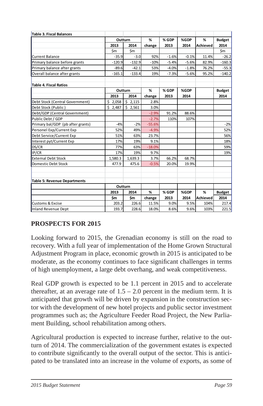| Table 3. Fiscal Balances          |          |            |          |         |         |          |               |
|-----------------------------------|----------|------------|----------|---------|---------|----------|---------------|
|                                   |          | Outturn    | %        | % GDP   | %GDP    | %        | <b>Budget</b> |
|                                   | 2013     | 2014       | change   | 2013    | 2014    | Achieved | 2014          |
|                                   | \$m      | \$m        |          |         |         |          | $\mathsf{Sm}$ |
| <b>Current Balance</b>            | $-35.9$  | $-3.0$     | 92%      | $-1.6%$ | $-0.1%$ | 11.4%    | $-26.2$       |
| Primary balance before grants     | $-120.9$ | $-132.9$   | $-10%$   | $-5.4%$ | $-5.6%$ | 82.9%    | $-160.3$      |
| Primary balance after grants      | $-89.6$  | $-42.1$    | 53%      | $-4.0%$ | $-1.8%$ | 76.2%    | $-55.3$       |
| Overall balance after grants      | $-165.1$ | $-133.4$   | 19%      | $-7.3%$ | $-5.6%$ | 95.2%    | $-140.2$      |
| Table 4. Fiscal Ratios            |          |            |          |         |         |          |               |
|                                   | Outturn  |            | %        | % GDP   | %GDP    |          | <b>Budget</b> |
|                                   | 2013     | 2014       | change   | 2013    | 2014    |          | 2014          |
| Debt Stock (Central Government)   | \$2,058  | \$2,115    | 2.8%     |         |         |          |               |
| Debt Stock (Public)               | \$2,487  | Ś<br>2,561 | 3.0%     |         |         |          |               |
| Debt/GDP (Central Government)     |          |            | $-2.9%$  | 91.2%   | 88.6%   |          |               |
| Public Debt / GDP                 |          |            | $-2.7%$  | 110%    | 107%    |          |               |
| Primary bal/GDP (pb after grants) | $-4%$    | $-2%$      | $-55.6%$ |         |         |          | $-2%$         |
| Personel Exp/Current Exp          | 52%      | 49%        | $-4.9%$  |         |         |          | 52%           |
| Debt Service/Current Exp          | 51%      | 63%        | 23.7%    |         |         |          | 56%           |
| Interest pyt/Current Exp          | 17%      | 19%        | 9.1%     |         |         |          | 18%           |
| DS/CR                             | 77%      | 63%        | $-18.0%$ |         |         |          | 59%           |
| IP/CR                             | 17%      | 19%        | 9.7%     |         |         |          | 19%           |
| <b>External Debt Stock</b>        | 1,580.3  | 1,639.3    | 3.7%     | 66.2%   | 68.7%   |          |               |
| Domestic Debt Stock               | 477.9    | 475.6      | $-0.5%$  | 20.0%   | 19.9%   |          |               |
|                                   |          |            |          |         |         |          |               |
| Table 5: Revenue Departments      |          |            |          |         |         |          |               |
|                                   |          | Outturn    |          |         |         |          |               |
|                                   | 2013     | 2014       | %        | % GDP   | %GDP    | %        | <b>Budget</b> |
|                                   | \$m      | \$m        | change   | 2013    | 2014    | Achieved | 2014          |
| <b>Customs &amp; Excise</b>       | 203.2    | 226.6      | 11.5%    | 9.0%    | 9.5%    | 104%     | 217.4         |
| Inland Revenue Dept               | 193.7    | 228.6      | 18.0%    | 8.6%    | 9.6%    | 103%     | 221.5         |

### **PROSPECTS FOR 2015**

Looking forward to 2015, the Grenadian economy is still on the road to recovery. With a full year of implementation of the Home Grown Structural Adjustment Program in place, economic growth in 2015 is anticipated to be moderate, as the economy continues to face significant challenges in terms of high unemployment, a large debt overhang, and weak competitiveness.

Real GDP growth is expected to be 1.1 percent in 2015 and to accelerate thereafter, at an average rate of  $1.5 - 2.0$  percent in the medium term. It is anticipated that growth will be driven by expansion in the construction sector with the development of new hotel projects and public sector investment programmes such as; the Agriculture Feeder Road Project, the New Parliament Building, school rehabilitation among others.

Agricultural production is expected to increase further, relative to the outturn of 2014. The commercialization of the government estates is expected to contribute significantly to the overall output of the sector. This is anticipated to be translated into an increase in the volume of exports, as some of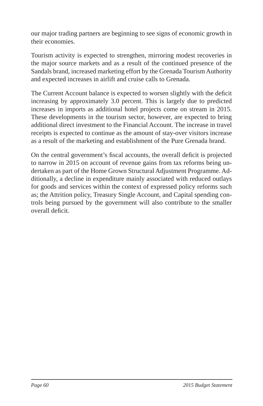our major trading partners are beginning to see signs of economic growth in their economies.

Tourism activity is expected to strengthen, mirroring modest recoveries in the major source markets and as a result of the continued presence of the Sandals brand, increased marketing effort by the Grenada Tourism Authority and expected increases in airlift and cruise calls to Grenada.

The Current Account balance is expected to worsen slightly with the deficit increasing by approximately 3.0 percent. This is largely due to predicted increases in imports as additional hotel projects come on stream in 2015. These developments in the tourism sector, however, are expected to bring additional direct investment to the Financial Account. The increase in travel receipts is expected to continue as the amount of stay-over visitors increase as a result of the marketing and establishment of the Pure Grenada brand.

On the central government's fiscal accounts, the overall deficit is projected to narrow in 2015 on account of revenue gains from tax reforms being undertaken as part of the Home Grown Structural Adjustment Programme. Additionally, a decline in expenditure mainly associated with reduced outlays for goods and services within the context of expressed policy reforms such as; the Attrition policy, Treasury Single Account, and Capital spending controls being pursued by the government will also contribute to the smaller overall deficit.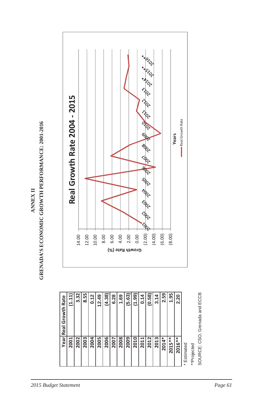

|                              | <b>8.00</b><br>2.00<br>2.00 (2.00) $\frac{1}{\sqrt{3}}$ $\frac{1}{\sqrt{3}}$ $\frac{1}{\sqrt{3}}$ $\frac{1}{\sqrt{3}}$ $\frac{1}{\sqrt{3}}$ $\frac{1}{\sqrt{3}}$ $\frac{1}{\sqrt{3}}$ $\frac{1}{\sqrt{3}}$ $\frac{1}{\sqrt{3}}$ $\frac{1}{\sqrt{3}}$ $\frac{1}{\sqrt{3}}$ $\frac{1}{\sqrt{3}}$ $\frac{1}{\sqrt{3}}$ $\frac{1}{\sqrt{3}}$ $\frac{1}{\sqrt{3}}$ $\frac$ |                           |
|------------------------------|-----------------------------------------------------------------------------------------------------------------------------------------------------------------------------------------------------------------------------------------------------------------------------------------------------------------------------------------------------------------------|---------------------------|
| Real Growth Rate 2004 - 2015 |                                                                                                                                                                                                                                                                                                                                                                       | Real Growth Rate<br>Years |
| 14.00                        | (6.00)<br>$12.00$<br>$10.00$<br>Growth Rate (%)                                                                                                                                                                                                                                                                                                                       | (8.00)                    |

|                  |        |      |      |      |       |        |      |      | Growth Rate (%) |        |      |        |      |       |          |        |             |             |                               |
|------------------|--------|------|------|------|-------|--------|------|------|-----------------|--------|------|--------|------|-------|----------|--------|-------------|-------------|-------------------------------|
|                  |        |      |      |      |       |        |      |      |                 |        |      |        |      |       |          |        |             |             |                               |
| Real Growth Rate | (1.11) | 3.32 | 8.55 | 0.12 | 12.49 | (4.38) | 6.28 | 1.69 | (5.63)          | (1.99) | 0.14 | (0.58) | 3.14 | 2.59  | 1.95     | 2.20   |             |             | SOURCE: CSO, Grenada and ECCB |
| Year             | 2001   | 2002 | 2003 | 2004 | 2005  | 2006   | 2007 | 2008 | 2009            | 2010   | 2011 | 2012   | 2013 | 2014* | $2015**$ | 2016** | * Estimated | **Projected |                               |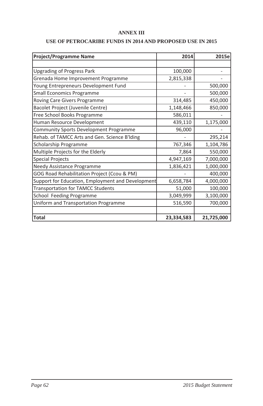#### **ANNEX III**

#### **USE OF PETROCARIBE FUNDS IN 2014 AND PROPOSED USE IN 2015**

| <b>Project/Programme Name</b>                     | 2014       | 2015e      |
|---------------------------------------------------|------------|------------|
|                                                   |            |            |
| <b>Upgrading of Progress Park</b>                 | 100,000    |            |
| Grenada Home Improvement Programme                | 2,815,338  |            |
| Young Entrepreneurs Development Fund              |            | 500,000    |
| <b>Small Economics Programme</b>                  |            | 500,000    |
| Roving Care Givers Programme                      | 314,485    | 450,000    |
| Bacolet Project (Juvenile Centre)                 | 1,148,466  | 850,000    |
| Free School Books Programme                       | 586,011    |            |
| Human Resource Development                        | 439,110    | 1,175,000  |
| <b>Community Sports Development Programme</b>     | 96,000     |            |
| Rehab. of TAMCC Arts and Gen. Science B'lding     |            | 295,214    |
| Scholarship Programme                             | 767,346    | 1,104,786  |
| Multiple Projects for the Elderly                 | 7,864      | 550,000    |
| <b>Special Projects</b>                           | 4,947,169  | 7,000,000  |
| Needy Assistance Programme                        | 1,836,421  | 1,000,000  |
| GOG Road Rehabilitation Project (Ccou & PM)       |            | 400,000    |
| Support for Education, Employment and Development | 6,658,784  | 4,000,000  |
| <b>Transportation for TAMCC Students</b>          | 51,000     | 100,000    |
| School Feeding Programme                          | 3,049,999  | 3,100,000  |
| Uniform and Transportation Programme              | 516,590    | 700,000    |
|                                                   |            |            |
| <b>Total</b>                                      | 23,334,583 | 21,725,000 |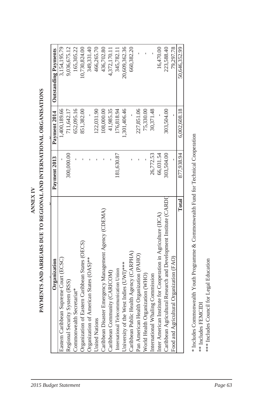| 300,000.00<br>Caribbean Disaster Emergency Management Agency (CDEMA)<br>Organization of Eastern Caribbean States (OECS)<br>Organization of American States (OAS)**<br>Eastern Caribbean Supreme Court (ECSC)<br>Regional Security System (RSS)<br>Commonwealth Secretariat*<br><b>Jnited Nations</b> | 1,400,189.66 | 3,154,195.79  |
|------------------------------------------------------------------------------------------------------------------------------------------------------------------------------------------------------------------------------------------------------------------------------------------------------|--------------|---------------|
|                                                                                                                                                                                                                                                                                                      |              |               |
|                                                                                                                                                                                                                                                                                                      | 711,642.17   | 9,036,675.12  |
|                                                                                                                                                                                                                                                                                                      | 652,095.16   | 165,305.22    |
|                                                                                                                                                                                                                                                                                                      | 851,382.00   | 10,730,824.00 |
|                                                                                                                                                                                                                                                                                                      |              | 349,331.40    |
|                                                                                                                                                                                                                                                                                                      | 122,031.90   | 466,265.70    |
|                                                                                                                                                                                                                                                                                                      | 108,000.00   | 436,702.80    |
| Caribbean Community (CARICOM)                                                                                                                                                                                                                                                                        | 41,985.35    | 4,372,170.11  |
| 181,630.87<br>International Telecommunication Union                                                                                                                                                                                                                                                  | 176,818.94   | 345,782.11    |
| University of the West Indies (UWI)***                                                                                                                                                                                                                                                               | 1,301,406.46 | 20,609,362.36 |
| Caribbean Public Health Agency (CARPHA)                                                                                                                                                                                                                                                              |              | 660,382.20    |
| Pan American Health Organization (PAHO)                                                                                                                                                                                                                                                              | 227,851.06   |               |
| World Health Organization (WHO)                                                                                                                                                                                                                                                                      | 75,330.00    |               |
| 26,772.53<br>International Whaling Commission                                                                                                                                                                                                                                                        | 30,371.48    |               |
| 66,031.54<br>Inter American Institute for Cooperation in Agriculture (IICA)                                                                                                                                                                                                                          |              | 16,470.00     |
| 303,504.00<br>Caribbean Agricultural Research and Development Institute (CARDI                                                                                                                                                                                                                       | 303,504.00   | 223,588.40    |
| Food and Agricultural Organization (FAO)                                                                                                                                                                                                                                                             |              | 79,297.78     |
| 877,938.94<br>Total                                                                                                                                                                                                                                                                                  | 6,002,608.18 | 50,646,352.99 |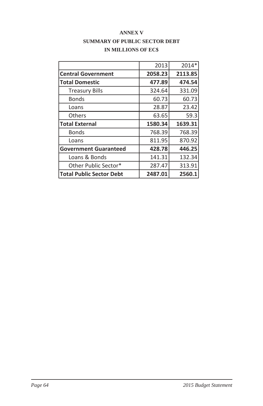|                                 | 2013    | 2014*   |
|---------------------------------|---------|---------|
| <b>Central Government</b>       | 2058.23 | 2113.85 |
| <b>Total Domestic</b>           | 477.89  | 474.54  |
| <b>Treasury Bills</b>           | 324.64  | 331.09  |
| Bonds                           | 60.73   | 60.73   |
| Loans                           | 28.87   | 23.42   |
| Others                          | 63.65   | 59.3    |
| <b>Total External</b>           | 1580.34 | 1639.31 |
| Bonds                           | 768.39  | 768.39  |
| Loans                           | 811.95  | 870.92  |
| <b>Government Guaranteed</b>    | 428.78  | 446.25  |
| Loans & Bonds                   | 141.31  | 132.34  |
| Other Public Sector*            | 287.47  | 313.91  |
| <b>Total Public Sector Debt</b> | 2487.01 | 2560.1  |

#### **ANNEX V SUMMARY OF PUBLIC SECTOR DEBT IN MILLIONS OF EC\$**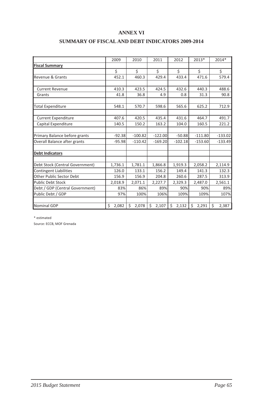#### **ANNEX VI**

|  | <b>SUMMARY OF FISCAL AND DEBT INDICATORS 2009-2014</b> |  |
|--|--------------------------------------------------------|--|
|--|--------------------------------------------------------|--|

|                                 | 2009        | 2010        | 2011        | 2012        | 2013*       | 2014*      |
|---------------------------------|-------------|-------------|-------------|-------------|-------------|------------|
| <b>Fiscal Summary</b>           |             |             |             |             |             |            |
|                                 | \$          | \$          | \$          | \$          | \$          | \$         |
| Revenue & Grants                | 452.1       | 460.3       | 429.4       | 433.4       | 471.6       | 579.4      |
| Current Revenue                 | 410.3       | 423.5       | 424.5       | 432.6       | 440.3       | 488.6      |
| Grants                          | 41.8        | 36.8        | 4.9         | 0.8         | 31.3        | 90.8       |
| <b>Total Expenditure</b>        | 548.1       | 570.7       | 598.6       | 565.6       | 625.2       | 712.9      |
| <b>Current Expenditure</b>      | 407.6       | 420.5       | 435.4       | 431.6       | 464.7       | 491.7      |
| Capital Expenditure             | 140.5       | 150.2       | 163.2       | 104.0       | 160.5       | 221.2      |
| Primary Balance before grants   | $-92.38$    | $-100.82$   | $-122.00$   | $-50.88$    | $-111.80$   | $-133.02$  |
| Overall Balance after grants    | $-95.98$    | $-110.42$   | $-169.20$   | $-102.18$   | $-153.60$   | $-133.49$  |
| <b>Debt Indicators</b>          |             |             |             |             |             |            |
| Debt Stock (Central Government) | 1,736.1     | 1,781.1     | 1,866.8     | 1,919.3     | 2,058.2     | 2,114.9    |
| <b>Contingent Liabilities</b>   | 126.0       | 133.1       | 156.2       | 149.4       | 141.3       | 132.3      |
| Other Public Sector Debt        | 156.9       | 156.9       | 204.8       | 260.6       | 287.5       | 313.9      |
| <b>Public Debt Stock</b>        | 2,018.9     | 2,071.1     | 2,227.7     | 2,329.3     | 2,487.0     | 2,561.1    |
| Debt / GDP (Central Government) | 83%         | 86%         | 89%         | 90%         | 90%         | 89%        |
| Public Debt / GDP               | 97%         | 100%        | 106%        | 109%        | 109%        | 107%       |
| <b>Nominal GDP</b>              | \$<br>2,082 | \$<br>2,078 | \$<br>2,107 | Ś.<br>2,132 | Ś.<br>2,291 | Ś<br>2,387 |

\* estimated

Source: ECCB, MOF Grenada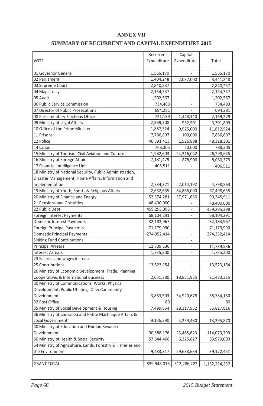#### **ANNEX VII**

#### **SUMMARY OF RECURRENT AND CAPITAL EXPENDITURE 2015**

|                                                             |             | Capital        |               |
|-------------------------------------------------------------|-------------|----------------|---------------|
|                                                             | Recurrent   |                |               |
| <b>VOTE</b>                                                 | Expenditure | Expenditure    | Total         |
|                                                             |             |                |               |
| 01 Governor General<br>02 Parliament                        | 1,565,170   |                | 1,565,170     |
|                                                             | 1,404,248   | 2,037,000      | 3,441,248     |
| 03 Supreme Court                                            | 2,840,237   |                | 2,840,237     |
| 04 Magistracy                                               | 2,154,337   |                | 2,154,337     |
| 05 Audit                                                    | 1,202,567   | $\overline{a}$ | 1,202,567     |
| 06 Public Service Commission                                | 734,483     | ÷              | 734,483       |
| 07 Director of Public Prosecutions                          | 694,281     | L,             | 694,281       |
| 08 Parliamentary Elections Office                           | 721,139     | 1,448,140      | 2,169,279     |
| 09 Ministry of Legal Affairs                                | 2,369,308   | 932,501        | 3,301,809     |
| 10 Office of the Prime Minister                             | 1,887,524   | 9,925,000      | 11,812,524    |
| 11 Prisons                                                  | 7,786,897   | 100,000        | 7,886,897     |
| 12 Police                                                   | 46,391,413  | 1,926,888      | 48,318,301    |
| 14 Labour                                                   | 768,305     | 20,000         | 788,305       |
| 15 Ministry of Tourism, Civil Aviation and Culture          | 1,982,603   | 24,316,042     | 26,298,645    |
| 16 Ministry of Foreign Affairs                              | 7,181,479   | 878,900        | 8,060,379     |
| 17 Financial Intelligence Unit                              | 406,511     |                | 406,511       |
| 18 Ministry of National Security, Public Administration,    |             |                |               |
| Disaster Management, Home Affairs, Information and          |             |                |               |
| Implementation                                              | 2,784,371   | 2,014,192      | 4,798,563     |
| 19 Ministry of Youth, Sports & Religious Affairs            | 2,632,635   | 64,866,000     | 67,498,635    |
| 20 Ministry of Finance and Energy                           | 52,374,281  | 37,971,630     | 90,345,911    |
| 21 Pensions and Gratuities                                  | 48,400,000  |                | 48,400,000    |
| 22 Public Debt.                                             | 459,295,398 |                | 459,295,398   |
| Foreign Interest Payments                                   | 68,104,291  | L,             | 68,104,291    |
| <b>Domestic Interest Payments</b>                           | 32,183,967  | $\overline{a}$ | 32,183,967    |
| <b>Foreign Principal Payments</b>                           | 71,179,990  | L,             | 71,179,990    |
| <b>Domestic Principal Payments</b>                          | 274,352,414 | L.             | 274,352,414   |
| <b>Sinking Fund Contributions</b>                           |             | ÷              |               |
| <b>Principal Arrears</b>                                    | 11,739,536  | ÷              | 11,739,536    |
| <b>Interest Arrears</b>                                     | 1,735,200   |                | 1,735,200     |
| 23 Salaries and wages increase                              |             |                |               |
| 25 Contributions                                            | 13,523,154  |                | 13,523,154    |
| 26 Ministry of Economic Development, Trade, Planning,       |             |                |               |
| Cooperatives & International Business                       | 2,631,380   | 18,851,935     | 21,483,315    |
| 30 Ministry of Communications, Works, Physical              |             |                |               |
| Development, Public Utilities, ICT & Community              |             |                |               |
| Development                                                 | 3,863,503   | 54,920,678     | 58,784,180    |
| 32 Post Office                                              | 80          |                | 80            |
| 35 Ministry of Social Development & Housing                 | 7,499,864   | 28,317,952     | 35,817,816    |
| 36 Ministry of Carriacou and Petite Martinique Affairs &    |             |                |               |
| Local Government                                            | 9,136,390   | 4,259,480      | 13,395,870    |
| 40 Ministry of Education and Human Resource                 |             |                |               |
| Development                                                 | 90,588,176  | 23,485,623     | 114,073,799   |
| 50 Ministry of Health & Social Security                     | 57,644,466  | 6,325,627      | 63,970,093    |
| 64 Ministry of Agriculture, Lands, Forestry & Fisheries and |             |                |               |
| the Environment                                             | 9,483,817   | 29,688,634     | 39,172,451    |
|                                                             |             |                |               |
| <b>GRANT TOTAL</b>                                          | 839,948,016 | 312,286,222    | 1,152,234,237 |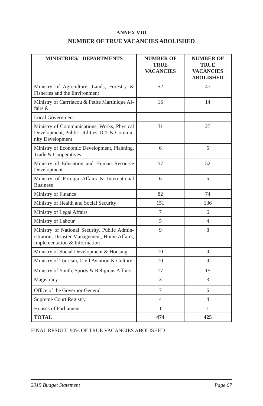#### **ANNEX VIII NUMBER OF TRUE VACANCIES ABOLISHED**

| <b>MINISTRIES/ DEPARTMENTS</b>                                                                                                | <b>NUMBER OF</b><br><b>TRUE</b><br><b>VACANCIES</b> | <b>NUMBER OF</b><br><b>TRUE</b><br>VACANCIES<br><b>ABOLISHED</b> |
|-------------------------------------------------------------------------------------------------------------------------------|-----------------------------------------------------|------------------------------------------------------------------|
| Ministry of Agriculture, Lands, Forestry &<br>Fisheries and the Environment                                                   | 52                                                  | 47                                                               |
| Ministry of Carrriacou & Petite Martinique Af-<br>fairs &                                                                     | 16                                                  | 14                                                               |
| <b>Local Government</b>                                                                                                       |                                                     |                                                                  |
| Ministry of Communications, Works, Physical<br>Development, Public Utilities, ICT & Commu-<br>nity Development                | 31                                                  | 27                                                               |
| Ministry of Economic Development, Planning,<br>Trade & Cooperatives                                                           | 6                                                   | 5                                                                |
| Ministry of Education and Human Resource<br>Development                                                                       | 57                                                  | 52                                                               |
| Ministry of Foreign Affairs & International<br><b>Business</b>                                                                | 6                                                   | 5                                                                |
| Ministry of Finance                                                                                                           | 82                                                  | 74                                                               |
| Ministry of Health and Social Security                                                                                        | 151                                                 | 136                                                              |
| Ministry of Legal Affairs                                                                                                     | 7                                                   | 6                                                                |
| Ministry of Labour                                                                                                            | 5                                                   | $\overline{4}$                                                   |
| Ministry of National Security, Public Admin-<br>istration, Disaster Management, Home Affairs,<br>Implementation & Information | 9                                                   | 8                                                                |
| Ministry of Social Development & Housing                                                                                      | 10                                                  | 9                                                                |
| Ministry of Tourism, Civil Aviation & Culture                                                                                 | 10                                                  | 9                                                                |
| Ministry of Youth, Sports & Religious Affairs                                                                                 | 17                                                  | 15                                                               |
| Magistracy                                                                                                                    | 3                                                   | 3                                                                |
| Office of the Governor General                                                                                                | 7                                                   | 6                                                                |
| Supreme Court Registry                                                                                                        | $\overline{4}$                                      | $\overline{4}$                                                   |
| Houses of Parliament                                                                                                          | 1                                                   | 1                                                                |
| <b>TOTAL</b>                                                                                                                  | 474                                                 | 425                                                              |

FINAL RESULT: 90% OF TRUE VACANCIES ABOLISHED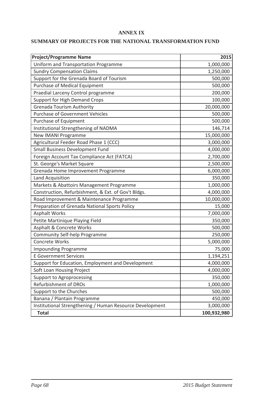#### **ANNEX IX**

#### **SUMMARY OF PROJECTS FOR THE NATIONAL TRANSFORMATION FUND**

| <b>Project/Programme Name</b>                            | 2015        |
|----------------------------------------------------------|-------------|
| Uniform and Transportation Programme                     | 1,000,000   |
| <b>Sundry Compensation Claims</b>                        | 1,250,000   |
| Support for the Grenada Board of Tourism                 | 500,000     |
| Purchase of Medical Equipment                            | 500,000     |
| Praedial Larceny Control programme                       | 200,000     |
| Support for High Demand Crops                            | 100,000     |
| <b>Grenada Tourism Authority</b>                         | 20,000,000  |
| <b>Purchase of Government Vehicles</b>                   | 500,000     |
| Purchase of Equipment                                    | 500,000     |
| Institutional Strengthening of NADMA                     | 146,714     |
| <b>New IMANI Programme</b>                               | 15,000,000  |
| Agricultural Feeder Road Phase 1 (CCC)                   | 3,000,000   |
| Small Business Development Fund                          | 4,000,000   |
| Foreign Account Tax Compliance Act (FATCA)               | 2,700,000   |
| St. George's Market Square                               | 2,500,000   |
| Grenada Home Improvement Programme                       | 6,000,000   |
| Land Acquisition                                         | 350,000     |
| Markets & Abattoirs Management Programme                 | 1,000,000   |
| Construction, Refurbishment, & Ext. of Gov't Bldgs.      | 4,000,000   |
| Road Improvement & Maintenance Programme                 | 10,000,000  |
| Preparation of Grenada National Sports Policy            | 15,000      |
| <b>Asphalt Works</b>                                     | 7,000,000   |
| Petite Martinique Playing Field                          | 350,000     |
| Asphalt & Concrete Works                                 | 500,000     |
| Community Self-help Programme                            | 250,000     |
| Concrete Works                                           | 5,000,000   |
| <b>Impounding Programme</b>                              | 75,000      |
| <b>E</b> Government Services                             | 1,194,251   |
| Support for Education, Employment and Development        | 4,000,000   |
| Soft Loan Housing Project                                | 4,000,000   |
| Support to Agroprocessing                                | 350,000     |
| Refurbishment of DROs                                    | 1,000,000   |
| Support to the Churches                                  | 500,000     |
| Banana / Plantain Programme                              | 450,000     |
| Institutional Strengthening / Human Resource Development | 3,000,000   |
| <b>Total</b>                                             | 100,932,980 |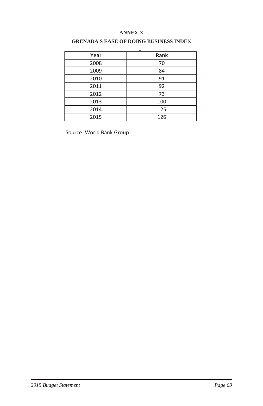### **ANNEX X**

| Year | Rank |
|------|------|
| 2008 | 70   |
| 2009 | 84   |
| 2010 | 91   |
| 2011 | 92   |
| 2012 | 73   |
| 2013 | 100  |
| 2014 | 125  |
| 2015 | 126  |

### **GRENADA'S EASE OF DOING BUSINESS INDEX**

Source: World Bank Group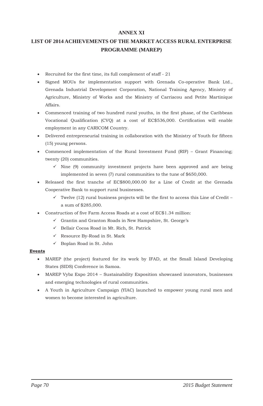### **ANNEX XI**

### **LIST OF 2014 ACHIEVEMENTS OF THE MARKET ACCESS RURAL ENTERPRISE PROGRAMME (MAREP)**

- $\bullet$  Recruited for the first time, its full complement of staff 21
- x Signed MOUs for implementation support with Grenada Co-operative Bank Ltd., Grenada Industrial Development Corporation, National Training Agency, Ministry of Agriculture, Ministry of Works and the Ministry of Carriacou and Petite Martinique Affairs.
- Commenced training of two hundred rural youths, in the first phase, of the Caribbean Vocational Qualification (CVQ) at a cost of EC\$536,000. Certification will enable employment in any CARICOM Country.
- Delivered entrepreneurial training in collaboration with the Ministry of Youth for fifteen (15) young persons.
- Commenced implementation of the Rural Investment Fund  $(RIF)$  Grant Financing; twenty (20) communities.
	- $\checkmark$  Nine (9) community investment projects have been approved and are being implemented in seven (7) rural communities to the tune of \$650,000.
- x Released the first tranche of EC\$800,000.00 for a Line of Credit at the Grenada Cooperative Bank to support rural businesses.
	- $\checkmark$  Twelve (12) rural business projects will be the first to access this Line of Credit a sum of \$285,000.
- Construction of five Farm Access Roads at a cost of EC\$1.34 million:
	- $\checkmark$  Grantin and Granton Roads in New Hampshire, St. George's
	- $\checkmark$  Bellair Cocoa Road in Mt. Rich, St. Patrick
	- $\checkmark$  Resource By-Road in St. Mark
	- $\checkmark$  Boplan Road in St. John

#### **Events**

- x MAREP (the project) featured for its work by IFAD, at the Small Island Developing States (SIDS) Conference in Samoa.
- MAREP Vybz Expo 2014 Sustainability Exposition showcased innovators, businesses and emerging technologies of rural communities.
- x A Youth in Agriculture Campaign (YIAC) launched to empower young rural men and women to become interested in agriculture.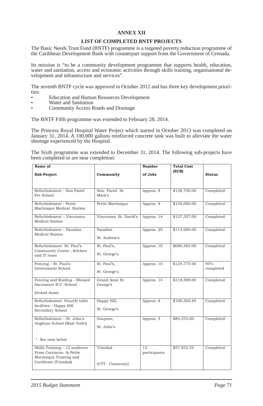#### **ANNEX XII**

#### **LIST OF COMPLETED BNTF PROJECTS**

The Basic Needs Trust Fund (BNTF) programme is a targeted poverty reduction programme of the Caribbean Development Bank with counterpart support from the Government of Grenada.

Its mission is "to be a community development programme that supports health, education, water and sanitation, access and economic activities through skills training, organisational development and infrastructure and services".

The seventh BNTF cycle was approved in October 2012 and has three key development priorities:

- Education and Human Resources Development
- Water and Sanitation
- Community Access Roads and Drainage

The BNTF Fifth programme was extended to February 28, 2014.

The Princess Royal Hospital Water Project which started in October 2013 was completed on January 31, 2014. A 100,000 gallons reinforced concrete tank was built to alleviate the water shortage experienced by the Hospital.

The Sixth programme was extended to December 31, 2014. The following sub-projects have been completed or are near completion:

| Name of                                                                                                        |                              | Number             | <b>Total Cost</b> |                  |
|----------------------------------------------------------------------------------------------------------------|------------------------------|--------------------|-------------------|------------------|
| Sub-Project                                                                                                    | Community                    | of Jobs            | (EC\$)            | <b>Status</b>    |
|                                                                                                                |                              |                    |                   |                  |
| Refurbishment - Non Pariel<br>Pre School                                                                       | Non-Pariel St.<br>Mark's     | Approx. 8          | \$128,750.00      | Completed        |
| Refurbishment - Petite<br>Martinique Medical Station                                                           | Petite Martinique            | Approx. 8          | \$134,060.00      | Completed        |
| Refurbishment - Vincennes<br>Medical Station                                                                   | Vincennes St. David's        | Approx. 14         | \$127,357.00      | Completed        |
| Refurbishment - Paradise<br>Medical Station                                                                    | Paradise<br>St. Andrew's     | Approx. 20         | \$113,000.00      | Completed        |
| Refurbishment- St. Paul's<br>Community Center, Kitchen<br>and IT room                                          | St. Paul's,<br>St. George's  | Approx. 10         | \$080,365.00      | Completed        |
| Fencing - St. Paul's<br>Government School                                                                      | St. Paul's,<br>St. George's  | Approx. 10         | \$124,775.00      | 95%<br>completed |
| Fencing and Roofing – Blessed<br>Sacrament R.C School                                                          | Grand Anse St.<br>George's   | Approx. 14         | \$118,589.00      | Completed        |
| (Grand Anse)                                                                                                   |                              |                    |                   |                  |
| Refurbishment- Four(4) toilet<br>facilities - Happy Hill<br>Secondary School                                   | Happy Hill,<br>St. George's  | Approx. 8          | \$100,365.85      | Completed        |
| Refurbishment - St. John's<br>Anglican School (Male Toilet)                                                    | Gouvave,<br>St. John's       | Approx. 5          | \$84,370.00       | Completed        |
| * See note below                                                                                               |                              |                    |                   |                  |
| Skills Training - 12 seafarers<br>From Carriacou & Petite<br>Martinique Training and<br>Certificate (Trinidad) | Trinidad<br>(UTT University) | 12<br>participants | \$57,932.55       | Completed        |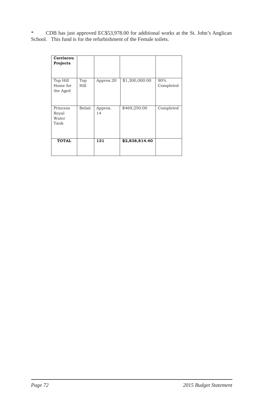\* CDB has just approved EC\$53,978.00 for additional works at the St. John's Anglican School. This fund is for the refurbishment of the Female toilets.

| Carriacou<br>Projects              |             |               |                |                  |
|------------------------------------|-------------|---------------|----------------|------------------|
| Top Hill<br>Home for<br>the Aged   | Top<br>Hill | Approx.20     | \$1,300,000.00 | 90%<br>Completed |
| Princess<br>Royal<br>Water<br>Tank | Belair      | Approx.<br>14 | \$469,250.00   | Completed        |
| <b>TOTAL</b>                       |             | 131           | \$2,838,814.40 |                  |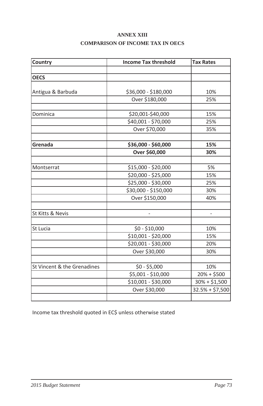## **ANNEX XIII COMPARISON OF INCOME TAX IN OECS**

| Country                     | <b>Income Tax threshold</b> | <b>Tax Rates</b> |
|-----------------------------|-----------------------------|------------------|
|                             |                             |                  |
| <b>OECS</b>                 |                             |                  |
|                             |                             |                  |
| Antigua & Barbuda           | \$36,000 - \$180,000        | 10%              |
|                             | Over \$180,000              | 25%              |
|                             |                             |                  |
| Dominica                    | \$20,001-\$40,000           | 15%              |
|                             | \$40,001 - \$70,000         | 25%              |
|                             | Over \$70,000               | 35%              |
|                             |                             |                  |
| Grenada                     | \$36,000 - \$60,000         | 15%              |
|                             | Over \$60,000               | 30%              |
|                             |                             |                  |
| Montserrat                  | \$15,000 - \$20,000         | 5%               |
|                             | \$20,000 - \$25,000         | 15%              |
|                             | \$25,000 - \$30,000         | 25%              |
|                             | \$30,000 - \$150,000        | 30%              |
|                             | Over \$150,000              | 40%              |
|                             |                             |                  |
| St Kitts & Nevis            |                             | $\overline{a}$   |
|                             |                             |                  |
| St Lucia                    | \$0 - \$10,000              | 10%              |
|                             | \$10,001 - \$20,000         | 15%              |
|                             | \$20,001 - \$30,000         | 20%              |
|                             | Over \$30,000               | 30%              |
|                             |                             |                  |
| St Vincent & the Grenadines | $$0 - $5,000$               | 10%              |
|                             | $$5,001 - $10,000$          | $20% + $500$     |
|                             | \$10,001 - \$30,000         | $30\% + $1,500$  |
|                             | Over \$30,000               | $32.5% + $7,500$ |
|                             |                             |                  |

Income tax threshold quoted in EC\$ unless otherwise stated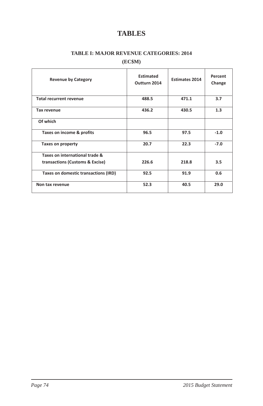# **TABLES**

### **TABLE I: MAJOR REVENUE CATEGORIES: 2014**

### **(EC\$M)**

| <b>Revenue by Category</b>           | Estimated<br>Outturn 2014 | <b>Estimates 2014</b> | Percent<br>Change |
|--------------------------------------|---------------------------|-----------------------|-------------------|
| <b>Total recurrent revenue</b>       | 488.5                     | 471.1                 | 3.7               |
| Tax revenue                          | 436.2                     | 430.5                 | 1.3               |
| Of which                             |                           |                       |                   |
| Taxes on income & profits            | 96.5                      | 97.5                  | $-1.0$            |
| <b>Taxes on property</b>             | 20.7                      | 22.3                  | $-7.0$            |
| Taxes on international trade &       |                           |                       |                   |
| transactions (Customs & Excise)      | 226.6                     | 218.8                 | 3.5               |
| Taxes on domestic transactions (IRD) | 92.5                      | 91.9                  | 0.6               |
| Non tax revenue                      | 52.3                      | 40.5                  | 29.0              |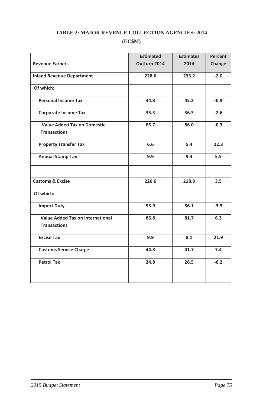## **TABLE 2: MAJOR REVENUE COLLECTION AGENCIES: 2014 (EC\$M)**

|                                    | <b>Estimated</b> | <b>Estimates</b> | Percent |
|------------------------------------|------------------|------------------|---------|
| <b>Revenue Earners</b>             | Outturn 2014     | 2014             | Change  |
| <b>Inland Revenue Department</b>   | 228.6            | 233.2            | $-2.0$  |
| Of which:                          |                  |                  |         |
| <b>Personal Income Tax</b>         | 44.8             | 45.2             | $-0.9$  |
| <b>Corporate Income Tax</b>        | 35.3             | 36.3             | $-2.6$  |
| <b>Value Added Tax on Domestic</b> | 85.7             | 86.0             | $-0.3$  |
| <b>Transactions</b>                |                  |                  |         |
| <b>Property Transfer Tax</b>       | 6.6              | 5.4              | 22.3    |
| <b>Annual Stamp Tax</b>            | 9.9              | 9.4              | 5.5     |
|                                    |                  |                  |         |
| <b>Customs &amp; Excise</b>        | 226.6            | 218.8            | 3.5     |
| Of which:                          |                  |                  |         |
| <b>Import Duty</b>                 | 53.9             | 56.1             | $-3.9$  |
| Value Added Tax on International   | 86.8             | 81.7             | 6.3     |
| <b>Transactions</b>                |                  |                  |         |
| <b>Excise Tax</b>                  | 9.9              | 8.1              | 21.9    |
| <b>Customs Service Charge</b>      | 44.8             | 41.7             | 7.4     |
| <b>Petrol Tax</b>                  | 24.8             | 26.5             | $-6.2$  |
|                                    |                  |                  |         |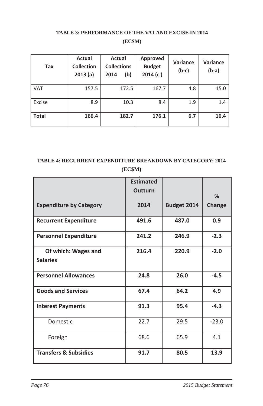### **TABLE 3: PERFORMANCE OF THE VAT AND EXCISE IN 2014 (EC\$M)**

| Tax          | Actual<br><b>Collection</b><br>2013(a) | Actual<br><b>Collections</b><br>(b)<br>2014 | Approved<br><b>Budget</b><br>2014(c) | <b>Variance</b><br>$(b-c)$ | Variance<br>$(b-a)$ |
|--------------|----------------------------------------|---------------------------------------------|--------------------------------------|----------------------------|---------------------|
| <b>VAT</b>   | 157.5                                  | 172.5                                       | 167.7                                | 4.8                        | 15.0                |
| Excise       | 8.9                                    | 10.3                                        | 8.4                                  | 1.9                        | 1.4                 |
| <b>Total</b> | 166.4                                  | 182.7                                       | 176.1                                | 6.7                        | 16.4                |

## **TABLE 4: RECURRENT EXPENDITURE BREAKDOWN BY CATEGORY: 2014 (EC\$M)**

|                                        | $(\mathbf{L} \cup \psi \cdot \mathbf{L})$ |             |               |
|----------------------------------------|-------------------------------------------|-------------|---------------|
|                                        | <b>Estimated</b><br><b>Outturn</b>        |             | %             |
| <b>Expenditure by Category</b>         | 2014                                      | Budget 2014 | <b>Change</b> |
| <b>Recurrent Expenditure</b>           | 491.6                                     | 487.0       | 0.9           |
| <b>Personnel Expenditure</b>           | 241.2                                     | 246.9       | $-2.3$        |
| Of which: Wages and<br><b>Salaries</b> | 216.4                                     | 220.9       | $-2.0$        |
| <b>Personnel Allowances</b>            | 24.8                                      | 26.0        | $-4.5$        |
| <b>Goods and Services</b>              | 67.4                                      | 64.2        | 4.9           |
| <b>Interest Payments</b>               | 91.3                                      | 95.4        | $-4.3$        |
| Domestic                               | 22.7                                      | 29.5        | $-23.0$       |
| Foreign                                | 68.6                                      | 65.9        | 4.1           |
| <b>Transfers &amp; Subsidies</b>       | 91.7                                      | 80.5        | 13.9          |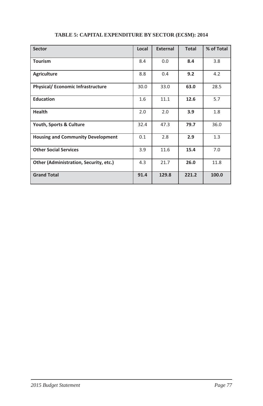| <b>Sector</b>                            | Local | <b>External</b> | <b>Total</b> | % of Total |
|------------------------------------------|-------|-----------------|--------------|------------|
| <b>Tourism</b>                           | 8.4   | 0.0             | 8.4          | 3.8        |
| <b>Agriculture</b>                       | 8.8   | 0.4             | 9.2          | 4.2        |
| <b>Physical/ Economic Infrastructure</b> | 30.0  | 33.0            | 63.0         | 28.5       |
| <b>Education</b>                         | 1.6   | 11.1            | 12.6         | 5.7        |
| <b>Health</b>                            | 2.0   | 2.0             | 3.9          | 1.8        |
| Youth, Sports & Culture                  | 32.4  | 47.3            | 79.7         | 36.0       |
| <b>Housing and Community Development</b> | 0.1   | 2.8             | 2.9          | 1.3        |
| <b>Other Social Services</b>             | 3.9   | 11.6            | 15.4         | 7.0        |
| Other (Administration, Security, etc.)   | 4.3   | 21.7            | 26.0         | 11.8       |
| <b>Grand Total</b>                       | 91.4  | 129.8           | 221.2        | 100.0      |

## **TABLE 5: CAPITAL EXPENDITURE BY SECTOR (EC\$M): 2014**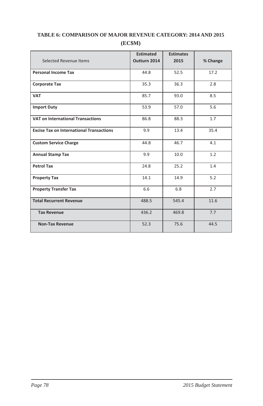|                                                 | <b>Estimated</b> | <b>Estimates</b> |          |
|-------------------------------------------------|------------------|------------------|----------|
| <b>Selected Revenue Items</b>                   | Outturn 2014     | 2015             | % Change |
| <b>Personal Income Tax</b>                      | 44.8             | 52.5             | 17.2     |
| <b>Corporate Tax</b>                            | 35.3             | 36.3             | 2.8      |
|                                                 |                  |                  |          |
| <b>VAT</b>                                      | 85.7             | 93.0             | 8.5      |
| <b>Import Duty</b>                              | 53.9             | 57.0             | 5.6      |
| <b>VAT on International Transactions</b>        | 86.8             | 88.3             | 1.7      |
| <b>Excise Tax on International Transactions</b> | 9.9              | 13.4             | 35.4     |
| <b>Custom Service Charge</b>                    | 44.8             | 46.7             | 4.1      |
| <b>Annual Stamp Tax</b>                         | 9.9              | 10.0             | 1.2      |
| <b>Petrol Tax</b>                               | 24.8             | 25.2             | 1.4      |
| <b>Property Tax</b>                             | 14.1             | 14.9             | 5.2      |
| <b>Property Transfer Tax</b>                    | 6.6              | 6.8              | 2.7      |
| <b>Total Recurrent Revenue</b>                  | 488.5            | 545.4            | 11.6     |
| <b>Tax Revenue</b>                              | 436.2            | 469.8            | 7.7      |
| <b>Non-Tax Revenue</b>                          | 52.3             | 75.6             | 44.5     |

## **TABLE 6: COMPARISON OF MAJOR REVENUE CATEGORY: 2014 AND 2015 (EC\$M)**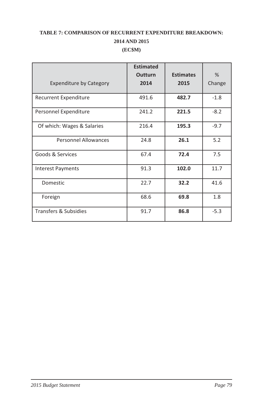## **TABLE 7: COMPARISON OF RECURRENT EXPENDITURE BREAKDOWN: 2014 AND 2015 (EC\$M)**

|                                | <b>Estimated</b><br><b>Outturn</b> | <b>Estimates</b> | $\frac{0}{6}$ |
|--------------------------------|------------------------------------|------------------|---------------|
| <b>Expenditure by Category</b> | 2014                               | 2015             | Change        |
| <b>Recurrent Expenditure</b>   | 491.6                              | 482.7            | $-1.8$        |
| Personnel Expenditure          | 241.2                              | 221.5            | $-8.2$        |
| Of which: Wages & Salaries     | 216.4                              | 195.3            | $-9.7$        |
| <b>Personnel Allowances</b>    | 24.8                               | 26.1             | 5.2           |
| Goods & Services               | 67.4                               | 72.4             | 7.5           |
| <b>Interest Payments</b>       | 91.3                               | 102.0            | 11.7          |
| Domestic                       | 22.7                               | 32.2             | 41.6          |
| Foreign                        | 68.6                               | 69.8             | 1.8           |
| Transfers & Subsidies          | 91.7                               | 86.8             | $-5.3$        |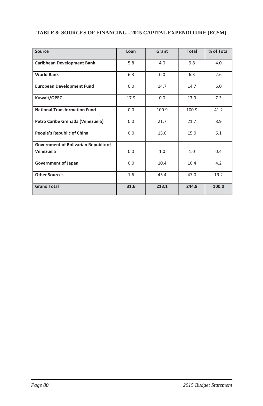| Source                                            | Loan | Grant | <b>Total</b> | % of Total |
|---------------------------------------------------|------|-------|--------------|------------|
| <b>Caribbean Development Bank</b>                 | 5.8  | 4.0   | 9.8          | 4.0        |
| <b>World Bank</b>                                 | 6.3  | 0.0   | 6.3          | 2.6        |
| <b>European Development Fund</b>                  | 0.0  | 14.7  | 14.7         | 6.0        |
| Kuwait/OPEC                                       | 17.9 | 0.0   | 17.9         | 7.3        |
| <b>National Transformation Fund</b>               | 0.0  | 100.9 | 100.9        | 41.2       |
| Petro Caribe Grenada (Venezuela)                  | 0.0  | 21.7  | 21.7         | 8.9        |
| People's Republic of China                        | 0.0  | 15.0  | 15.0         | 6.1        |
| Government of Bolivarian Republic of<br>Venezuela | 0.0  | 1.0   | 1.0          | 0.4        |
| <b>Government of Japan</b>                        | 0.0  | 10.4  | 10.4         | 4.2        |
| <b>Other Sources</b>                              | 1.6  | 45.4  | 47.0         | 19.2       |
| <b>Grand Total</b>                                | 31.6 | 213.1 | 244.8        | 100.0      |

### **TABLE 8: SOURCES OF FINANCING - 2015 CAPITAL EXPENDITURE (EC\$M)**